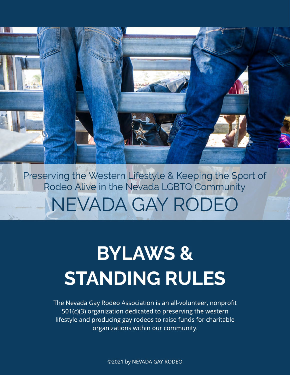Preserving the Western Lifestyle & Keeping the Sport of Rodeo Alive in the Nevada LGBTQ Community NEVADA GAY RODEO

# **BYLAWS & STANDING RULES**

The Nevada Gay Rodeo Association is an all-volunteer, nonprofit 501(c)(3) organization dedicated to preserving the western lifestyle and producing gay rodeos to raise funds for charitable organizations within our community.

©2021 by NEVADA GAY RODEO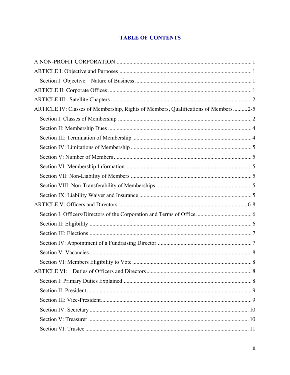# **TABLE OF CONTENTS**

| ARTICLE IV: Classes of Membership, Rights of Members, Qualifications of Members2-5 |  |
|------------------------------------------------------------------------------------|--|
|                                                                                    |  |
|                                                                                    |  |
|                                                                                    |  |
|                                                                                    |  |
|                                                                                    |  |
|                                                                                    |  |
|                                                                                    |  |
|                                                                                    |  |
|                                                                                    |  |
|                                                                                    |  |
|                                                                                    |  |
|                                                                                    |  |
|                                                                                    |  |
|                                                                                    |  |
|                                                                                    |  |
|                                                                                    |  |
|                                                                                    |  |
|                                                                                    |  |
|                                                                                    |  |
|                                                                                    |  |
|                                                                                    |  |
|                                                                                    |  |
|                                                                                    |  |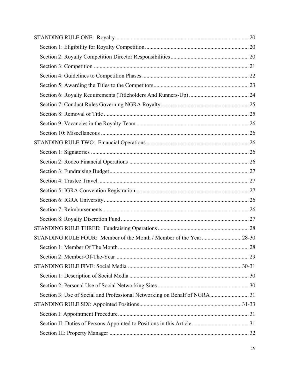| Section 3: Use of Social and Professional Networking on Behalf of NGRA  31 |  |
|----------------------------------------------------------------------------|--|
|                                                                            |  |
|                                                                            |  |
|                                                                            |  |
|                                                                            |  |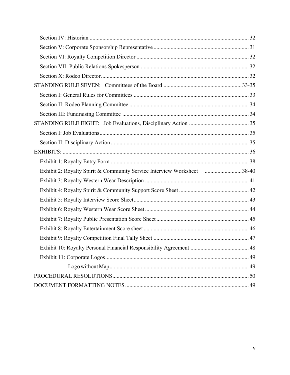| Exhibit 2: Royalty Spirit & Community Service Interview Worksheet 38-40 |  |
|-------------------------------------------------------------------------|--|
|                                                                         |  |
|                                                                         |  |
|                                                                         |  |
|                                                                         |  |
|                                                                         |  |
|                                                                         |  |
|                                                                         |  |
|                                                                         |  |
|                                                                         |  |
|                                                                         |  |
|                                                                         |  |
|                                                                         |  |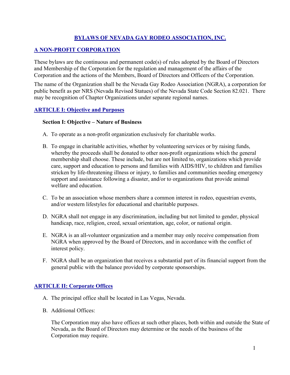## **BYLAWS OF NEVADA GAY RODEO ASSOCIATION, INC.**

## **A NON-PROFIT CORPORATION**

These bylaws are the continuous and permanent code(s) of rules adopted by the Board of Directors and Membership of the Corporation for the regulation and management of the affairs of the Corporation and the actions of the Members, Board of Directors and Officers of the Corporation.

The name of the Organization shall be the Nevada Gay Rodeo Association (NGRA), a corporation for public benefit as per NRS (Nevada Revised Statues) of the Nevada State Code Section 82.021. There may be recognition of Chapter Organizations under separate regional names.

## **ARTICLE I: Objective and Purposes**

## **Section I: Objective – Nature of Business**

- A. To operate as a non-profit organization exclusively for charitable works.
- B. To engage in charitable activities, whether by volunteering services or by raising funds, whereby the proceeds shall be donated to other non-profit organizations which the general membership shall choose. These include, but are not limited to, organizations which provide care, support and education to persons and families with AIDS/HIV, to children and families stricken by life-threatening illness or injury, to families and communities needing emergency support and assistance following a disaster, and/or to organizations that provide animal welfare and education.
- C. To be an association whose members share a common interest in rodeo, equestrian events, and/or western lifestyles for educational and charitable purposes.
- D. NGRA shall not engage in any discrimination, including but not limited to gender, physical handicap, race, religion, creed, sexual orientation, age, color, or national origin.
- E. NGRA is an all-volunteer organization and a member may only receive compensation from NGRA when approved by the Board of Directors, and in accordance with the conflict of interest policy.
- F. NGRA shall be an organization that receives a substantial part of its financial support from the general public with the balance provided by corporate sponsorships.

## **ARTICLE II: Corporate Offices**

- A. The principal office shall be located in Las Vegas, Nevada.
- B. Additional Offices:

The Corporation may also have offices at such other places, both within and outside the State of Nevada, as the Board of Directors may determine or the needs of the business of the Corporation may require.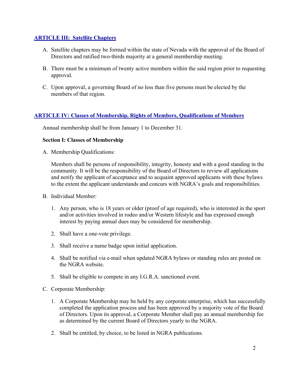## **ARTICLE III: Satellite Chapters**

- A. Satellite chapters may be formed within the state of Nevada with the approval of the Board of Directors and ratified two-thirds majority at a general membership meeting.
- B. There must be a minimum of twenty active members within the said region prior to requesting approval.
- C. Upon approval, a governing Board of no less than five persons must be elected by the members of that region.

## **ARTICLE IV: Classes of Membership, Rights of Members, Qualifications of Members**

Annual membership shall be from January 1 to December 31.

## **Section I: Classes of Membership**

A. Membership Qualifications:

Members shall be persons of responsibility, integrity, honesty and with a good standing in the community. It will be the responsibility of the Board of Directors to review all applications and notify the applicant of acceptance and to acquaint approved applicants with these bylaws to the extent the applicant understands and concurs with NGRA's goals and responsibilities.

- B. Individual Member:
	- 1. Any person, who is 18 years or older (proof of age required), who is interested in the sport and/or activities involved in rodeo and/or Western lifestyle and has expressed enough interest by paying annual dues may be considered for membership.
	- 2. Shall have a one-vote privilege.
	- 3. Shall receive a name badge upon initial application.
	- 4. Shall be notified via e-mail when updated NGRA bylaws or standing rules are posted on the NGRA website.
	- 5. Shall be eligible to compete in any I.G.R.A. sanctioned event.
- C. Corporate Membership:
	- 1. A Corporate Membership may be held by any corporate enterprise, which has successfully completed the application process and has been approved by a majority vote of the Board of Directors. Upon its approval, a Corporate Member shall pay an annual membership fee as determined by the current Board of Directors yearly to the NGRA.
	- 2. Shall be entitled, by choice, to be listed in NGRA publications.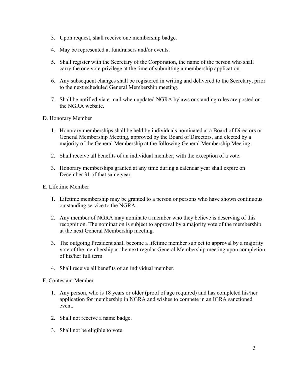- 3. Upon request, shall receive one membership badge.
- 4. May be represented at fundraisers and/or events.
- 5. Shall register with the Secretary of the Corporation, the name of the person who shall carry the one vote privilege at the time of submitting a membership application.
- 6. Any subsequent changes shall be registered in writing and delivered to the Secretary, prior to the next scheduled General Membership meeting.
- 7. Shall be notified via e-mail when updated NGRA bylaws or standing rules are posted on the NGRA website.
- D. Honorary Member
	- 1. Honorary memberships shall be held by individuals nominated at a Board of Directors or General Membership Meeting, approved by the Board of Directors, and elected by a majority of the General Membership at the following General Membership Meeting.
	- 2. Shall receive all benefits of an individual member, with the exception of a vote.
	- 3. Honorary memberships granted at any time during a calendar year shall expire on December 31 of that same year.
- E. Lifetime Member
	- 1. Lifetime membership may be granted to a person or persons who have shown continuous outstanding service to the NGRA.
	- 2. Any member of NGRA may nominate a member who they believe is deserving of this recognition. The nomination is subject to approval by a majority vote of the membership at the next General Membership meeting.
	- 3. The outgoing President shall become a lifetime member subject to approval by a majority vote of the membership at the next regular General Membership meeting upon completion of his/her full term.
	- 4. Shall receive all benefits of an individual member.

#### F. Contestant Member

- 1. Any person, who is 18 years or older (proof of age required) and has completed his/her application for membership in NGRA and wishes to compete in an IGRA sanctioned event.
- 2. Shall not receive a name badge.
- 3. Shall not be eligible to vote.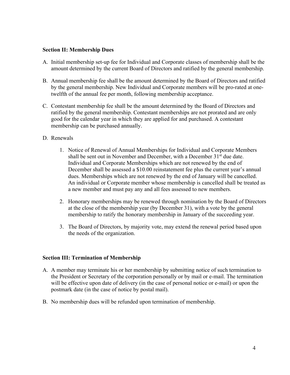#### **Section II: Membership Dues**

- A. Initial membership set-up fee for Individual and Corporate classes of membership shall be the amount determined by the current Board of Directors and ratified by the general membership.
- B. Annual membership fee shall be the amount determined by the Board of Directors and ratified by the general membership. New Individual and Corporate members will be pro-rated at onetwelfth of the annual fee per month, following membership acceptance.
- C. Contestant membership fee shall be the amount determined by the Board of Directors and ratified by the general membership. Contestant memberships are not prorated and are only good for the calendar year in which they are applied for and purchased. A contestant membership can be purchased annually.

#### D. Renewals

- 1. Notice of Renewal of Annual Memberships for Individual and Corporate Members shall be sent out in November and December, with a December 31<sup>st</sup> due date. Individual and Corporate Memberships which are not renewed by the end of December shall be assessed a \$10.00 reinstatement fee plus the current year's annual dues. Memberships which are not renewed by the end of January will be cancelled. An individual or Corporate member whose membership is cancelled shall be treated as a new member and must pay any and all fees assessed to new members.
- 2. Honorary memberships may be renewed through nomination by the Board of Directors at the close of the membership year (by December 31), with a vote by the general membership to ratify the honorary membership in January of the succeeding year.
- 3. The Board of Directors, by majority vote, may extend the renewal period based upon the needs of the organization.

#### **Section III: Termination of Membership**

- A. A member may terminate his or her membership by submitting notice of such termination to the President or Secretary of the corporation personally or by mail or e-mail. The termination will be effective upon date of delivery (in the case of personal notice or e-mail) or upon the postmark date (in the case of notice by postal mail).
- B. No membership dues will be refunded upon termination of membership.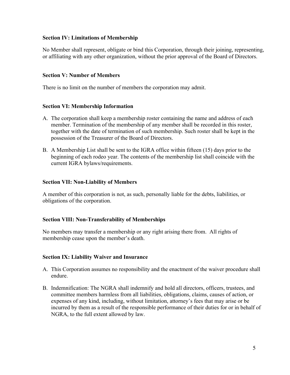## **Section IV: Limitations of Membership**

No Member shall represent, obligate or bind this Corporation, through their joining, representing, or affiliating with any other organization, without the prior approval of the Board of Directors.

## **Section V: Number of Members**

There is no limit on the number of members the corporation may admit.

## **Section VI: Membership Information**

- A. The corporation shall keep a membership roster containing the name and address of each member. Termination of the membership of any member shall be recorded in this roster, together with the date of termination of such membership. Such roster shall be kept in the possession of the Treasurer of the Board of Directors.
- B. A Membership List shall be sent to the IGRA office within fifteen (15) days prior to the beginning of each rodeo year. The contents of the membership list shall coincide with the current IGRA bylaws/requirements.

#### **Section VII: Non-Liability of Members**

A member of this corporation is not, as such, personally liable for the debts, liabilities, or obligations of the corporation.

#### **Section VIII: Non-Transferability of Memberships**

No members may transfer a membership or any right arising there from. All rights of membership cease upon the member's death.

#### **Section IX: Liability Waiver and Insurance**

- A. This Corporation assumes no responsibility and the enactment of the waiver procedure shall endure.
- B. Indemnification: The NGRA shall indemnify and hold all directors, officers, trustees, and committee members harmless from all liabilities, obligations, claims, causes of action, or expenses of any kind, including, without limitation, attorney's fees that may arise or be incurred by them as a result of the responsible performance of their duties for or in behalf of NGRA, to the full extent allowed by law.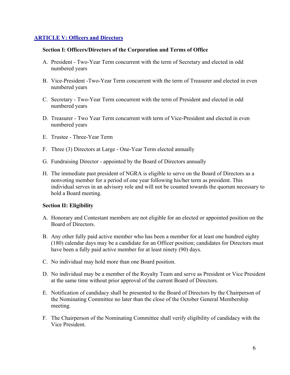## **ARTICLE V: Officers and Directors**

#### **Section I: Officers/Directors of the Corporation and Terms of Office**

- A. President Two-Year Term concurrent with the term of Secretary and elected in odd numbered years
- B. Vice-President -Two-Year Term concurrent with the term of Treasurer and elected in even numbered years
- C. Secretary Two-Year Term concurrent with the term of President and elected in odd numbered years
- D. Treasurer Two Year Term concurrent with term of Vice-President and elected in even numbered years
- E. Trustee Three-Year Term
- F. Three (3) Directors at Large One-Year Term elected annually
- G. Fundraising Director appointed by the Board of Directors annually
- H. The immediate past president of NGRA is eligible to serve on the Board of Directors as a nonvoting member for a period of one year following his/her term as president. This individual serves in an advisory role and will not be counted towards the quorum necessary to hold a Board meeting.

## **Section II: Eligibility**

- A. Honorary and Contestant members are not eligible for an elected or appointed position on the Board of Directors.
- B. Any other fully paid active member who has been a member for at least one hundred eighty (180) calendar days may be a candidate for an Officer position; candidates for Directors must have been a fully paid active member for at least ninety (90) days.
- C. No individual may hold more than one Board position.
- D. No individual may be a member of the Royalty Team and serve as President or Vice President at the same time without prior approval of the current Board of Directors.
- E. Notification of candidacy shall be presented to the Board of Directors by the Chairperson of the Nominating Committee no later than the close of the October General Membership meeting.
- F. The Chairperson of the Nominating Committee shall verify eligibility of candidacy with the Vice President.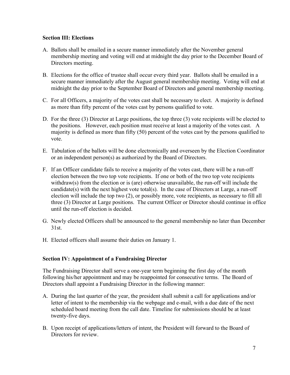## **Section III: Elections**

- A. Ballots shall be emailed in a secure manner immediately after the November general membership meeting and voting will end at midnight the day prior to the December Board of Directors meeting.
- B. Elections for the office of trustee shall occur every third year. Ballots shall be emailed in a secure manner immediately after the August general membership meeting. Voting will end at midnight the day prior to the September Board of Directors and general membership meeting.
- C. For all Officers, a majority of the votes cast shall be necessary to elect. A majority is defined as more than fifty percent of the votes cast by persons qualified to vote.
- D. For the three (3) Director at Large positions, the top three (3) vote recipients will be elected to the positions. However, each position must receive at least a majority of the votes cast. A majority is defined as more than fifty (50) percent of the votes cast by the persons qualified to vote.
- E. Tabulation of the ballots will be done electronically and overseen by the Election Coordinator or an independent person(s) as authorized by the Board of Directors.
- F. If an Officer candidate fails to receive a majority of the votes cast, there will be a run-off election between the two top vote recipients. If one or both of the two top vote recipients withdraw(s) from the election or is (are) otherwise unavailable, the run-off will include the candidate(s) with the next highest vote total(s). In the case of Directors at Large, a run-off election will include the top two (2), or possibly more, vote recipients, as necessary to fill all three (3) Director at Large positions. The current Officer or Director should continue in office until the run-off election is decided.
- G. Newly elected Officers shall be announced to the general membership no later than December 31st.
- H. Elected officers shall assume their duties on January 1.

## **Section IV: Appointment of a Fundraising Director**

The Fundraising Director shall serve a one-year term beginning the first day of the month following his/her appointment and may be reappointed for consecutive terms. The Board of Directors shall appoint a Fundraising Director in the following manner:

- A. During the last quarter of the year, the president shall submit a call for applications and/or letter of intent to the membership via the webpage and e-mail, with a due date of the next scheduled board meeting from the call date. Timeline for submissions should be at least twenty-five days.
- B. Upon receipt of applications/letters of intent, the President will forward to the Board of Directors for review.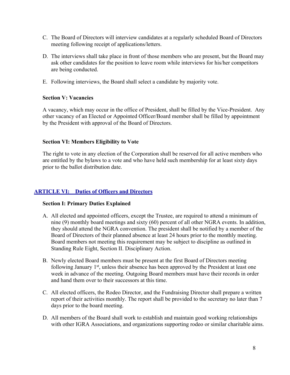- C. The Board of Directors will interview candidates at a regularly scheduled Board of Directors meeting following receipt of applications/letters.
- D. The interviews shall take place in front of those members who are present, but the Board may ask other candidates for the position to leave room while interviews for his/her competitors are being conducted.
- E. Following interviews, the Board shall select a candidate by majority vote.

## **Section V: Vacancies**

A vacancy, which may occur in the office of President, shall be filled by the Vice-President. Any other vacancy of an Elected or Appointed Officer/Board member shall be filled by appointment by the President with approval of the Board of Directors.

## **Section VI: Members Eligibility to Vote**

The right to vote in any election of the Corporation shall be reserved for all active members who are entitled by the bylaws to a vote and who have held such membership for at least sixty days prior to the ballot distribution date.

## **ARTICLE VI: Duties of Officers and Directors**

#### **Section I: Primary Duties Explained**

- A. All elected and appointed officers, except the Trustee, are required to attend a minimum of nine (9) monthly board meetings and sixty (60) percent of all other NGRA events. In addition, they should attend the NGRA convention. The president shall be notified by a member of the Board of Directors of their planned absence at least 24 hours prior to the monthly meeting. Board members not meeting this requirement may be subject to discipline as outlined in Standing Rule Eight, Section II. Disciplinary Action.
- B. Newly elected Board members must be present at the first Board of Directors meeting following January  $1<sup>st</sup>$ , unless their absence has been approved by the President at least one week in advance of the meeting. Outgoing Board members must have their records in order and hand them over to their successors at this time.
- C. All elected officers, the Rodeo Director, and the Fundraising Director shall prepare a written report of their activities monthly. The report shall be provided to the secretary no later than 7 days prior to the board meeting.
- D. All members of the Board shall work to establish and maintain good working relationships with other IGRA Associations, and organizations supporting rodeo or similar charitable aims.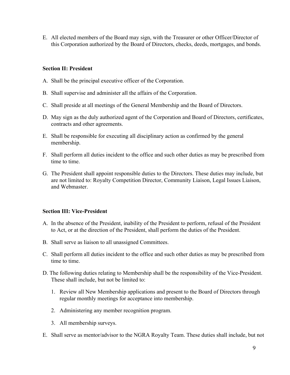E. All elected members of the Board may sign, with the Treasurer or other Officer/Director of this Corporation authorized by the Board of Directors, checks, deeds, mortgages, and bonds.

## **Section II: President**

- A. Shall be the principal executive officer of the Corporation.
- B. Shall supervise and administer all the affairs of the Corporation.
- C. Shall preside at all meetings of the General Membership and the Board of Directors.
- D. May sign as the duly authorized agent of the Corporation and Board of Directors, certificates, contracts and other agreements.
- E. Shall be responsible for executing all disciplinary action as confirmed by the general membership.
- F. Shall perform all duties incident to the office and such other duties as may be prescribed from time to time.
- G. The President shall appoint responsible duties to the Directors. These duties may include, but are not limited to: Royalty Competition Director, Community Liaison, Legal Issues Liaison, and Webmaster.

#### **Section III: Vice-President**

- A. In the absence of the President, inability of the President to perform, refusal of the President to Act, or at the direction of the President, shall perform the duties of the President.
- B. Shall serve as liaison to all unassigned Committees.
- C. Shall perform all duties incident to the office and such other duties as may be prescribed from time to time.
- D. The following duties relating to Membership shall be the responsibility of the Vice-President. These shall include, but not be limited to:
	- 1. Review all New Membership applications and present to the Board of Directors through regular monthly meetings for acceptance into membership.
	- 2. Administering any member recognition program.
	- 3. All membership surveys.
- E. Shall serve as mentor/advisor to the NGRA Royalty Team. These duties shall include, but not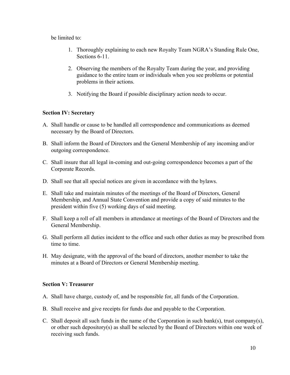be limited to:

- 1. Thoroughly explaining to each new Royalty Team NGRA's Standing Rule One, Sections 6-11.
- 2. Observing the members of the Royalty Team during the year, and providing guidance to the entire team or individuals when you see problems or potential problems in their actions.
- 3. Notifying the Board if possible disciplinary action needs to occur.

## **Section IV: Secretary**

- A. Shall handle or cause to be handled all correspondence and communications as deemed necessary by the Board of Directors.
- B. Shall inform the Board of Directors and the General Membership of any incoming and/or outgoing correspondence.
- C. Shall insure that all legal in-coming and out-going correspondence becomes a part of the Corporate Records.
- D. Shall see that all special notices are given in accordance with the bylaws.
- E. Shall take and maintain minutes of the meetings of the Board of Directors, General Membership, and Annual State Convention and provide a copy of said minutes to the president within five (5) working days of said meeting.
- F. Shall keep a roll of all members in attendance at meetings of the Board of Directors and the General Membership.
- G. Shall perform all duties incident to the office and such other duties as may be prescribed from time to time.
- H. May designate, with the approval of the board of directors, another member to take the minutes at a Board of Directors or General Membership meeting.

## **Section V: Treasurer**

- A. Shall have charge, custody of, and be responsible for, all funds of the Corporation.
- B. Shall receive and give receipts for funds due and payable to the Corporation.
- C. Shall deposit all such funds in the name of the Corporation in such bank(s), trust company(s), or other such depository(s) as shall be selected by the Board of Directors within one week of receiving such funds.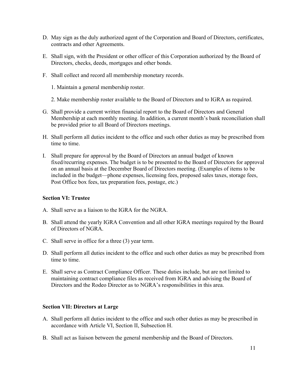- D. May sign as the duly authorized agent of the Corporation and Board of Directors, certificates, contracts and other Agreements.
- E. Shall sign, with the President or other officer of this Corporation authorized by the Board of Directors, checks, deeds, mortgages and other bonds.
- F. Shall collect and record all membership monetary records.
	- 1. Maintain a general membership roster.
	- 2. Make membership roster available to the Board of Directors and to IGRA as required.
- G. Shall provide a current written financial report to the Board of Directors and General Membership at each monthly meeting. In addition, a current month's bank reconciliation shall be provided prior to all Board of Directors meetings.
- H. Shall perform all duties incident to the office and such other duties as may be prescribed from time to time.
- I. Shall prepare for approval by the Board of Directors an annual budget of known fixed/recurring expenses. The budget is to be presented to the Board of Directors for approval on an annual basis at the December Board of Directors meeting. (Examples of items to be included in the budget—phone expenses, licensing fees, proposed sales taxes, storage fees, Post Office box fees, tax preparation fees, postage, etc.)

#### **Section VI: Trustee**

- A. Shall serve as a liaison to the IGRA for the NGRA.
- B. Shall attend the yearly IGRA Convention and all other IGRA meetings required by the Board of Directors of NGRA.
- C. Shall serve in office for a three (3) year term.
- D. Shall perform all duties incident to the office and such other duties as may be prescribed from time to time.
- E. Shall serve as Contract Compliance Officer. These duties include, but are not limited to maintaining contract compliance files as received from IGRA and advising the Board of Directors and the Rodeo Director as to NGRA's responsibilities in this area.

#### **Section VII: Directors at Large**

- A. Shall perform all duties incident to the office and such other duties as may be prescribed in accordance with Article VI, Section II, Subsection H.
- B. Shall act as liaison between the general membership and the Board of Directors.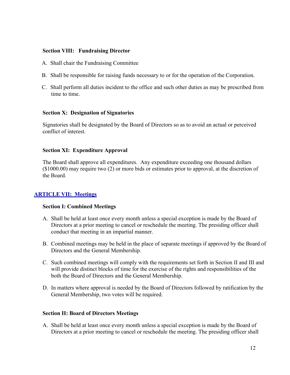#### **Section VIII: Fundraising Director**

- A. Shall chair the Fundraising Committee
- B. Shall be responsible for raising funds necessary to or for the operation of the Corporation.
- C. Shall perform all duties incident to the office and such other duties as may be prescribed from time to time.

#### **Section X: Designation of Signatories**

Signatories shall be designated by the Board of Directors so as to avoid an actual or perceived conflict of interest.

#### **Section XI: Expenditure Approval**

The Board shall approve all expenditures. Any expenditure exceeding one thousand dollars (\$1000.00) may require two (2) or more bids or estimates prior to approval, at the discretion of the Board.

#### **ARTICLE VII: Meetings**

#### **Section I: Combined Meetings**

- A. Shall be held at least once every month unless a special exception is made by the Board of Directors at a prior meeting to cancel or reschedule the meeting. The presiding officer shall conduct that meeting in an impartial manner.
- B. Combined meetings may be held in the place of separate meetings if approved by the Board of Directors and the General Membership.
- C. Such combined meetings will comply with the requirements set forth in Section II and III and will provide distinct blocks of time for the exercise of the rights and responsibilities of the both the Board of Directors and the General Membership.
- D. In matters where approval is needed by the Board of Directors followed by ratification by the General Membership, two votes will be required.

#### **Section II: Board of Directors Meetings**

A. Shall be held at least once every month unless a special exception is made by the Board of Directors at a prior meeting to cancel or reschedule the meeting. The presiding officer shall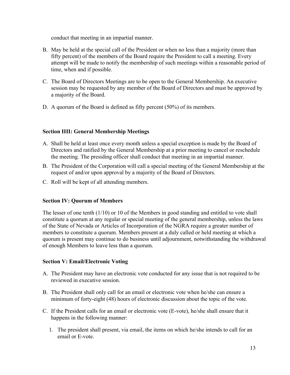conduct that meeting in an impartial manner.

- B. May be held at the special call of the President or when no less than a majority (more than fifty percent) of the members of the Board require the President to call a meeting. Every attempt will be made to notify the membership of such meetings within a reasonable period of time, when and if possible.
- C. The Board of Directors Meetings are to be open to the General Membership. An executive session may be requested by any member of the Board of Directors and must be approved by a majority of the Board.
- D. A quorum of the Board is defined as fifty percent (50%) of its members.

## **Section IIII: General Membership Meetings**

- A. Shall be held at least once every month unless a special exception is made by the Board of Directors and ratified by the General Membership at a prior meeting to cancel or reschedule the meeting. The presiding officer shall conduct that meeting in an impartial manner.
- B. The President of the Corporation will call a special meeting of the General Membership at the request of and/or upon approval by a majority of the Board of Directors.
- C. Roll will be kept of all attending members.

## **Section IV: Quorum of Members**

The lesser of one tenth (1/10) or 10 of the Members in good standing and entitled to vote shall constitute a quorum at any regular or special meeting of the general membership, unless the laws of the State of Nevada or Articles of Incorporation of the NGRA require a greater number of members to constitute a quorum. Members present at a duly called or held meeting at which a quorum is present may continue to do business until adjournment, notwithstanding the withdrawal of enough Members to leave less than a quorum.

## **Section V: Email/Electronic Voting**

- A. The President may have an electronic vote conducted for any issue that is not required to be reviewed in executive session.
- B. The President shall only call for an email or electronic vote when he/she can ensure a minimum of forty-eight (48) hours of electronic discussion about the topic of the vote.
- C. If the President calls for an email or electronic vote (E-vote), he/she shall ensure that it happens in the following manner:
	- 1. The president shall present, via email, the items on which he/she intends to call for an email or E-vote.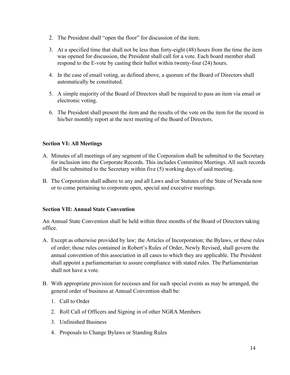- 2. The President shall "open the floor" for discussion of the item.
- 3. At a specified time that shall not be less than forty-eight (48) hours from the time the item was opened for discussion, the President shall call for a vote. Each board member shall respond to the E-vote by casting their ballot within twenty-four (24) hours.
- 4. In the case of email voting, as defined above, a quorum of the Board of Directors shall automatically be constituted.
- 5. A simple majority of the Board of Directors shall be required to pass an item via email or electronic voting.
- 6. The President shall present the item and the results of the vote on the item for the record in his/her monthly report at the next meeting of the Board of Directors.

## **Section VI: All Meetings**

- A. Minutes of all meetings of any segment of the Corporation shall be submitted to the Secretary for inclusion into the Corporate Records. This includes Committee Meetings. All such records shall be submitted to the Secretary within five (5) working days of said meeting.
- B. The Corporation shall adhere to any and all Laws and/or Statutes of the State of Nevada now or to come pertaining to corporate open, special and executive meetings.

## **Section VII: Annual State Convention**

An Annual State Convention shall be held within three months of the Board of Directors taking office.

- A. Except as otherwise provided by law; the Articles of Incorporation; the Bylaws, or these rules of order; those rules contained in Robert's Rules of Order, Newly Revised, shall govern the annual convention of this association in all cases to which they are applicable. The President shall appoint a parliamentarian to assure compliance with stated rules. The Parliamentarian shall not have a vote.
- B. With appropriate provision for recesses and for such special events as may be arranged, the general order of business at Annual Convention shall be:
	- 1. Call to Order
	- 2. Roll Call of Officers and Signing in of other NGRA Members
	- 3. Unfinished Business
	- 4. Proposals to Change Bylaws or Standing Rules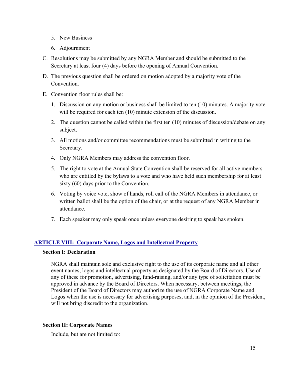- 5. New Business
- 6. Adjournment
- C. Resolutions may be submitted by any NGRA Member and should be submitted to the Secretary at least four (4) days before the opening of Annual Convention.
- D. The previous question shall be ordered on motion adopted by a majority vote of the Convention.
- E. Convention floor rules shall be:
	- 1. Discussion on any motion or business shall be limited to ten (10) minutes. A majority vote will be required for each ten (10) minute extension of the discussion.
	- 2. The question cannot be called within the first ten (10) minutes of discussion/debate on any subject.
	- 3. All motions and/or committee recommendations must be submitted in writing to the Secretary.
	- 4. Only NGRA Members may address the convention floor.
	- 5. The right to vote at the Annual State Convention shall be reserved for all active members who are entitled by the bylaws to a vote and who have held such membership for at least sixty (60) days prior to the Convention.
	- 6. Voting by voice vote, show of hands, roll call of the NGRA Members in attendance, or written ballot shall be the option of the chair, or at the request of any NGRA Member in attendance.
	- 7. Each speaker may only speak once unless everyone desiring to speak has spoken.

## **ARTICLE VIII: Corporate Name, Logos and Intellectual Property**

#### **Section I: Declaration**

NGRA shall maintain sole and exclusive right to the use of its corporate name and all other event names, logos and intellectual property as designated by the Board of Directors. Use of any of these for promotion, advertising, fund-raising, and/or any type of solicitation must be approved in advance by the Board of Directors. When necessary, between meetings, the President of the Board of Directors may authorize the use of NGRA Corporate Name and Logos when the use is necessary for advertising purposes, and, in the opinion of the President, will not bring discredit to the organization.

## **Section II: Corporate Names**

Include, but are not limited to: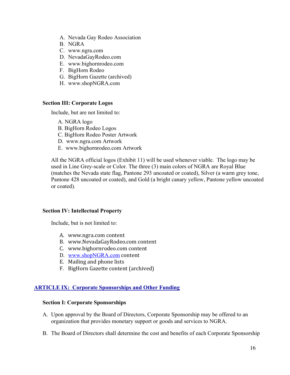- A. Nevada Gay Rodeo Association
- B. NGRA
- C. www.ngra.com
- D. NevadaGayRodeo.com
- E. www.bighornrodeo.com
- F. BigHorn Rodeo
- G. BigHorn Gazette (archived)
- H. www.shopNGRA.com

## **Section III: Corporate Logos**

Include, but are not limited to:

- A. NGRA logo
- B. BigHorn Rodeo Logos
- C. BigHorn Rodeo Poster Artwork
- D. www.ngra.com Artwork
- E. www.bighornrodeo.com Artwork

All the NGRA official logos (Exhibit 11) will be used whenever viable. The logo may be used in Line Grey-scale or Color. The three (3) main colors of NGRA are Royal Blue (matches the Nevada state flag, Pantone 293 uncoated or coated), Silver (a warm grey tone, Pantone 428 uncoated or coated), and Gold (a bright canary yellow, Pantone yellow uncoated or coated).

#### **Section IV: Intellectual Property**

Include, but is not limited to:

- A. www.ngra.com content
- B. www.NevadaGayRodeo.com content
- C. www.bighornrodeo.com content
- D. www.shopNGRA.com content
- E. Mailing and phone lists
- F. BigHorn Gazette content (archived)

## **ARTICLE IX: Corporate Sponsorships and Other Funding**

#### **Section I: Corporate Sponsorships**

- A. Upon approval by the Board of Directors, Corporate Sponsorship may be offered to an organization that provides monetary support or goods and services to NGRA.
- B. The Board of Directors shall determine the cost and benefits of each Corporate Sponsorship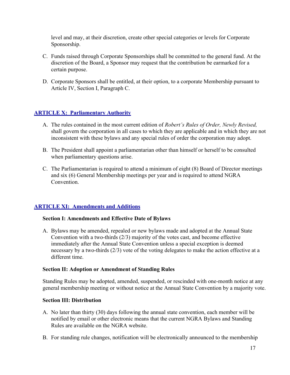level and may, at their discretion, create other special categories or levels for Corporate Sponsorship.

- C. Funds raised through Corporate Sponsorships shall be committed to the general fund. At the discretion of the Board, a Sponsor may request that the contribution be earmarked for a certain purpose.
- D. Corporate Sponsors shall be entitled, at their option, to a corporate Membership pursuant to Article IV, Section I, Paragraph C.

## **ARTICLE X: Parliamentary Authority**

- A. The rules contained in the most current edition of *Robert's Rules of Order, Newly Revised,*  shall govern the corporation in all cases to which they are applicable and in which they are not inconsistent with these bylaws and any special rules of order the corporation may adopt.
- B. The President shall appoint a parliamentarian other than himself or herself to be consulted when parliamentary questions arise.
- C. The Parliamentarian is required to attend a minimum of eight (8) Board of Director meetings and six (6) General Membership meetings per year and is required to attend NGRA Convention.

## **ARTICLE XI: Amendments and Additions**

#### **Section I: Amendments and Effective Date of Bylaws**

A. Bylaws may be amended, repealed or new bylaws made and adopted at the Annual State Convention with a two-thirds (2/3) majority of the votes cast, and become effective immediately after the Annual State Convention unless a special exception is deemed necessary by a two-thirds (2/3) vote of the voting delegates to make the action effective at a different time.

#### **Section II: Adoption or Amendment of Standing Rules**

Standing Rules may be adopted, amended, suspended, or rescinded with one-month notice at any general membership meeting or without notice at the Annual State Convention by a majority vote.

## **Section III: Distribution**

- A. No later than thirty (30) days following the annual state convention, each member will be notified by email or other electronic means that the current NGRA Bylaws and Standing Rules are available on the NGRA website.
- B. For standing rule changes, notification will be electronically announced to the membership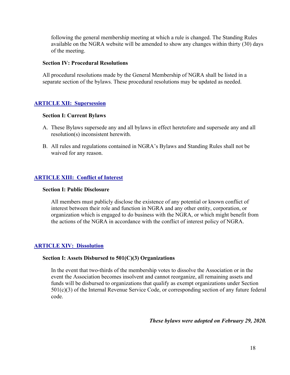following the general membership meeting at which a rule is changed. The Standing Rules available on the NGRA website will be amended to show any changes within thirty (30) days of the meeting.

#### **Section IV: Procedural Resolutions**

All procedural resolutions made by the General Membership of NGRA shall be listed in a separate section of the bylaws. These procedural resolutions may be updated as needed.

## **ARTICLE XII: Supersession**

#### **Section I: Current Bylaws**

- A. These Bylaws supersede any and all bylaws in effect heretofore and supersede any and all resolution(s) inconsistent herewith.
- B. All rules and regulations contained in NGRA's Bylaws and Standing Rules shall not be waived for any reason.

## **ARTICLE XIII: Conflict of Interest**

#### **Section I: Public Disclosure**

All members must publicly disclose the existence of any potential or known conflict of interest between their role and function in NGRA and any other entity, corporation, or organization which is engaged to do business with the NGRA, or which might benefit from the actions of the NGRA in accordance with the conflict of interest policy of NGRA.

## **ARTICLE XIV: Dissolution**

#### **Section I: Assets Disbursed to 501(C)(3) Organizations**

In the event that two-thirds of the membership votes to dissolve the Association or in the event the Association becomes insolvent and cannot reorganize, all remaining assets and funds will be disbursed to organizations that qualify as exempt organizations under Section 501(c)(3) of the Internal Revenue Service Code, or corresponding section of any future federal code.

*These bylaws were adopted on February 29, 2020.*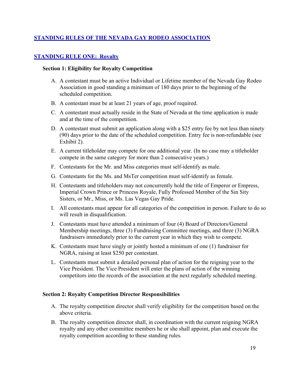## **STANDING RULES OF THE NEVADA GAY RODEO ASSOCIATION**

## **STANDING RULE ONE: Royalty**

#### **Section 1: Eligibility for Royalty Competition**

- A. A contestant must be an active Individual or Lifetime member of the Nevada Gay Rodeo Association in good standing a minimum of 180 days prior to the beginning of the scheduled competition.
- B. A contestant must be at least 21 years of age, proof required.
- C. A contestant must actually reside in the State of Nevada at the time application is made and at the time of the competition.
- D. A contestant must submit an application along with a \$25 entry fee by not less than ninety (90) days prior to the date of the scheduled competition. Entry fee is non-refundable (see Exhibit 2).
- E. A current titleholder may compete for one additional year. (In no case may a titleholder compete in the same category for more than 2 consecutive years.)
- F. Contestants for the Mr. and Miss categories must self-identify as male.
- G. Contestants for the Ms. and MsTer competition must self-identify as female.
- H. Contestants and titleholders may not concurrently hold the title of Emperor or Empress, Imperial Crown Prince or Princess Royale, Fully Professed Member of the Sin Sity Sisters, or Mr., Miss, or Ms. Las Vegas Gay Pride.
- I. All contestants must appear for all categories of the competition in person. Failure to do so will result in disqualification.
- J. Contestants must have attended a minimum of four (4) Board of Directors/General Membership meetings, three (3) Fundraising Committee meetings, and three (3) NGRA fundraisers immediately prior to the current year in which they wish to compete.
- K. Contestants must have singly or jointly hosted a minimum of one (1) fundraiser for NGRA, raising at least \$250 per contestant.
- L. Contestants must submit a detailed personal plan of action for the reigning year to the Vice President. The Vice President will enter the plans of action of the winning competitors into the records of the association at the next regularly scheduled meeting.

#### **Section 2: Royalty Competition Director Responsibilities**

- A. The royalty competition director shall verify eligibility for the competition based on the above criteria.
- B. The royalty competition director shall, in coordination with the current reigning NGRA royalty and any other committee members he or she shall appoint, plan and execute the royalty competition according to these standing rules.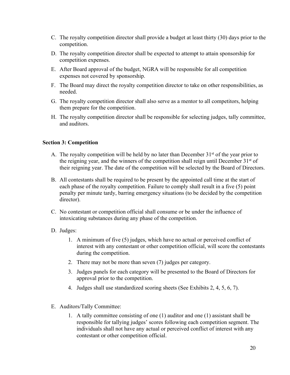- C. The royalty competition director shall provide a budget at least thirty (30) days prior to the competition.
- D. The royalty competition director shall be expected to attempt to attain sponsorship for competition expenses.
- E. After Board approval of the budget, NGRA will be responsible for all competition expenses not covered by sponsorship.
- F. The Board may direct the royalty competition director to take on other responsibilities, as needed.
- G. The royalty competition director shall also serve as a mentor to all competitors, helping them prepare for the competition.
- H. The royalty competition director shall be responsible for selecting judges, tally committee, and auditors.

## **Section 3: Competition**

- A. The royalty competition will be held by no later than December  $31<sup>st</sup>$  of the year prior to the reigning year, and the winners of the competition shall reign until December  $31<sup>st</sup>$  of their reigning year. The date of the competition will be selected by the Board of Directors.
- B. All contestants shall be required to be present by the appointed call time at the start of each phase of the royalty competition. Failure to comply shall result in a five (5) point penalty per minute tardy, barring emergency situations (to be decided by the competition director).
- C. No contestant or competition official shall consume or be under the influence of intoxicating substances during any phase of the competition.
- D. Judges:
	- 1. A minimum of five (5) judges, which have no actual or perceived conflict of interest with any contestant or other competition official, will score the contestants during the competition.
	- 2. There may not be more than seven (7) judges per category.
	- 3. Judges panels for each category will be presented to the Board of Directors for approval prior to the competition.
	- 4. Judges shall use standardized scoring sheets (See Exhibits 2, 4, 5, 6, 7).
- E. Auditors/Tally Committee:
	- 1. A tally committee consisting of one (1) auditor and one (1) assistant shall be responsible for tallying judges' scores following each competition segment. The individuals shall not have any actual or perceived conflict of interest with any contestant or other competition official.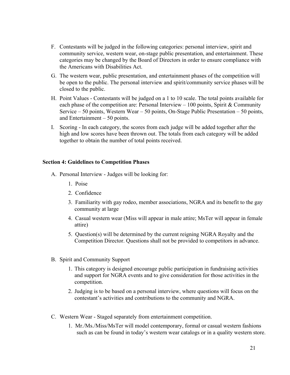- F. Contestants will be judged in the following categories: personal interview, spirit and community service, western wear, on-stage public presentation, and entertainment. These categories may be changed by the Board of Directors in order to ensure compliance with the Americans with Disabilities Act.
- G. The western wear, public presentation, and entertainment phases of the competition will be open to the public. The personal interview and spirit/community service phases will be closed to the public.
- H. Point Values Contestants will be judged on a 1 to 10 scale. The total points available for each phase of the competition are: Personal Interview – 100 points, Spirit & Community Service – 50 points, Western Wear – 50 points, On-Stage Public Presentation – 50 points, and Entertainment – 50 points.
- I. Scoring In each category, the scores from each judge will be added together after the high and low scores have been thrown out. The totals from each category will be added together to obtain the number of total points received.

## **Section 4: Guidelines to Competition Phases**

- A. Personal Interview Judges will be looking for:
	- 1. Poise
	- 2. Confidence
	- 3. Familiarity with gay rodeo, member associations, NGRA and its benefit to the gay community at large
	- 4. Casual western wear (Miss will appear in male attire; MsTer will appear in female attire)
	- 5. Question(s) will be determined by the current reigning NGRA Royalty and the Competition Director. Questions shall not be provided to competitors in advance.
- B. Spirit and Community Support
	- 1. This category is designed encourage public participation in fundraising activities and support for NGRA events and to give consideration for those activities in the competition.
	- 2. Judging is to be based on a personal interview, where questions will focus on the contestant's activities and contributions to the community and NGRA.
- C. Western Wear Staged separately from entertainment competition.
	- 1. Mr./Ms./Miss/MsTer will model contemporary, formal or casual western fashions such as can be found in today's western wear catalogs or in a quality western store.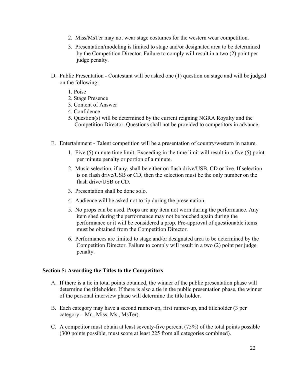- 2. Miss/MsTer may not wear stage costumes for the western wear competition.
- 3. Presentation/modeling is limited to stage and/or designated area to be determined by the Competition Director. Failure to comply will result in a two (2) point per judge penalty.
- D. Public Presentation Contestant will be asked one (1) question on stage and will be judged on the following:
	- 1. Poise
	- 2. Stage Presence
	- 3. Content of Answer
	- 4. Confidence
	- 5. Question(s) will be determined by the current reigning NGRA Royalty and the Competition Director. Questions shall not be provided to competitors in advance.
- E. Entertainment Talent competition will be a presentation of country/western in nature.
	- 1. Five (5) minute time limit. Exceeding in the time limit will result in a five (5) point per minute penalty or portion of a minute.
	- 2. Music selection, if any, shall be either on flash drive/USB, CD or live. If selection is on flash drive/USB or CD, then the selection must be the only number on the flash drive/USB or CD.
	- 3. Presentation shall be done solo.
	- 4. Audience will be asked not to tip during the presentation.
	- 5. No props can be used. Props are any item not worn during the performance. Any item shed during the performance may not be touched again during the performance or it will be considered a prop. Pre-approval of questionable items must be obtained from the Competition Director.
	- 6. Performances are limited to stage and/or designated area to be determined by the Competition Director. Failure to comply will result in a two (2) point per judge penalty.

#### **Section 5: Awarding the Titles to the Competitors**

- A. If there is a tie in total points obtained, the winner of the public presentation phase will determine the titleholder. If there is also a tie in the public presentation phase, the winner of the personal interview phase will determine the title holder.
- B. Each category may have a second runner-up, first runner-up, and titleholder (3 per category – Mr., Miss, Ms., MsTer).
- C. A competitor must obtain at least seventy-five percent (75%) of the total points possible (300 points possible, must score at least 225 from all categories combined).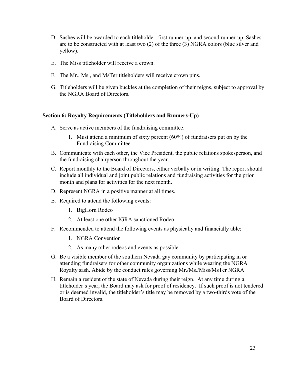- D. Sashes will be awarded to each titleholder, first runner-up, and second runner-up. Sashes are to be constructed with at least two (2) of the three (3) NGRA colors (blue silver and yellow).
- E. The Miss titleholder will receive a crown.
- F. The Mr., Ms., and MsTer titleholders will receive crown pins.
- G. Titleholders will be given buckles at the completion of their reigns, subject to approval by the NGRA Board of Directors.

#### **Section 6: Royalty Requirements (Titleholders and Runners-Up)**

- A. Serve as active members of the fundraising committee.
	- 1. Must attend a minimum of sixty percent (60%) of fundraisers put on by the Fundraising Committee.
- B. Communicate with each other, the Vice President, the public relations spokesperson, and the fundraising chairperson throughout the year.
- C. Report monthly to the Board of Directors, either verbally or in writing. The report should include all individual and joint public relations and fundraising activities for the prior month and plans for activities for the next month.
- D. Represent NGRA in a positive manner at all times.
- E. Required to attend the following events:
	- 1. BigHorn Rodeo
	- 2. At least one other IGRA sanctioned Rodeo
- F. Recommended to attend the following events as physically and financially able:
	- 1. NGRA Convention
	- 2. As many other rodeos and events as possible.
- G. Be a visible member of the southern Nevada gay community by participating in or attending fundraisers for other community organizations while wearing the NGRA Royalty sash. Abide by the conduct rules governing Mr./Ms./Miss/MsTer NGRA
- H. Remain a resident of the state of Nevada during their reign. At any time during a titleholder's year, the Board may ask for proof of residency. If such proof is not tendered or is deemed invalid, the titleholder's title may be removed by a two-thirds vote of the Board of Directors.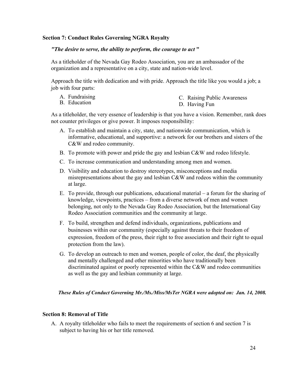#### **Section 7: Conduct Rules Governing NGRA Royalty**

#### *"The desire to serve, the ability to perform, the courage to act* **"**

As a titleholder of the Nevada Gay Rodeo Association, you are an ambassador of the organization and a representative on a city, state and nation-wide level.

Approach the title with dedication and with pride. Approach the title like you would a job; a job with four parts:

- A. Fundraising
- B. Education
- C. Raising Public Awareness
- D. Having Fun

As a titleholder, the very essence of leadership is that you have a vision. Remember, rank does not counter privileges or give power. It imposes responsibility:

- A. To establish and maintain a city, state, and nationwide communication, which is informative, educational, and supportive: a network for our brothers and sisters of the C&W and rodeo community.
- B. To promote with power and pride the gay and lesbian C&W and rodeo lifestyle.
- C. To increase communication and understanding among men and women.
- D. Visibility and education to destroy stereotypes, misconceptions and media misrepresentations about the gay and lesbian C&W and rodeos within the community at large.
- E. To provide, through our publications, educational material a forum for the sharing of knowledge, viewpoints, practices – from a diverse network of men and women belonging, not only to the Nevada Gay Rodeo Association, but the International Gay Rodeo Association communities and the community at large.
- F. To build, strengthen and defend individuals, organizations, publications and businesses within our community (especially against threats to their freedom of expression, freedom of the press, their right to free association and their right to equal protection from the law).
- G. To develop an outreach to men and women, people of color, the deaf, the physically and mentally challenged and other minorities who have traditionally been discriminated against or poorly represented within the C&W and rodeo communities as well as the gay and lesbian community at large.

#### *These Rules of Conduct Governing Mr./Ms./Miss/MsTer NGRA were adopted on: Jan. 14, 2008.*

#### **Section 8: Removal of Title**

A. A royalty titleholder who fails to meet the requirements of section 6 and section 7 is subject to having his or her title removed.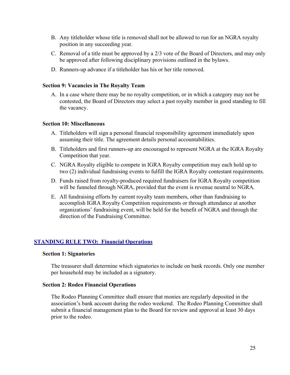- B. Any titleholder whose title is removed shall not be allowed to run for an NGRA royalty position in any succeeding year.
- C. Removal of a title must be approved by a 2/3 vote of the Board of Directors, and may only be approved after following disciplinary provisions outlined in the bylaws.
- D. Runners-up advance if a titleholder has his or her title removed.

#### **Section 9: Vacancies in The Royalty Team**

A. In a case where there may be no royalty competition, or in which a category may not be contested, the Board of Directors may select a past royalty member in good standing to fill the vacancy.

#### **Section 10: Miscellaneous**

- A. Titleholders will sign a personal financial responsibility agreement immediately upon assuming their title. The agreement details personal accountabilities.
- B. Titleholders and first runners-up are encouraged to represent NGRA at the IGRA Royalty Competition that year.
- C. NGRA Royalty eligible to compete in IGRA Royalty competition may each hold up to two (2) individual fundraising events to fulfill the IGRA Royalty contestant requirements.
- D. Funds raised from royalty-produced required fundraisers for IGRA Royalty competition will be funneled through NGRA, provided that the event is revenue neutral to NGRA.
- E. All fundraising efforts by current royalty team members, other than fundraising to accomplish IGRA Royalty Competition requirements or through attendance at another organizations' fundraising event, will be held for the benefit of NGRA and through the direction of the Fundraising Committee.

## **STANDING RULE TWO: Financial Operations**

#### **Section 1: Signatories**

The treasurer shall determine which signatories to include on bank records. Only one member per household may be included as a signatory.

#### **Section 2: Rodeo Financial Operations**

The Rodeo Planning Committee shall ensure that monies are regularly deposited in the association's bank account during the rodeo weekend. The Rodeo Planning Committee shall submit a financial management plan to the Board for review and approval at least 30 days prior to the rodeo.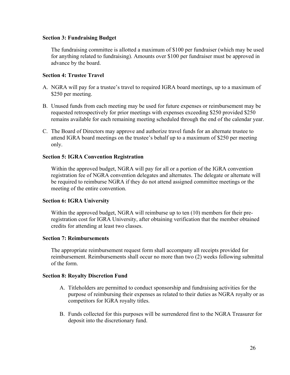#### **Section 3: Fundraising Budget**

The fundraising committee is allotted a maximum of \$100 per fundraiser (which may be used for anything related to fundraising). Amounts over \$100 per fundraiser must be approved in advance by the board.

#### **Section 4: Trustee Travel**

- A. NGRA will pay for a trustee's travel to required IGRA board meetings, up to a maximum of \$250 per meeting.
- B. Unused funds from each meeting may be used for future expenses or reimbursement may be requested retrospectively for prior meetings with expenses exceeding \$250 provided \$250 remains available for each remaining meeting scheduled through the end of the calendar year.
- C. The Board of Directors may approve and authorize travel funds for an alternate trustee to attend IGRA board meetings on the trustee's behalf up to a maximum of \$250 per meeting only.

#### **Section 5: IGRA Convention Registration**

Within the approved budget, NGRA will pay for all or a portion of the IGRA convention registration fee of NGRA convention delegates and alternates. The delegate or alternate will be required to reimburse NGRA if they do not attend assigned committee meetings or the meeting of the entire convention.

#### **Section 6: IGRA University**

Within the approved budget, NGRA will reimburse up to ten (10) members for their preregistration cost for IGRA University, after obtaining verification that the member obtained credits for attending at least two classes.

#### **Section 7: Reimbursements**

The appropriate reimbursement request form shall accompany all receipts provided for reimbursement. Reimbursements shall occur no more than two (2) weeks following submittal of the form.

#### **Section 8: Royalty Discretion Fund**

- A. Titleholders are permitted to conduct sponsorship and fundraising activities for the purpose of reimbursing their expenses as related to their duties as NGRA royalty or as competitors for IGRA royalty titles.
- B. Funds collected for this purposes will be surrendered first to the NGRA Treasurer for deposit into the discretionary fund.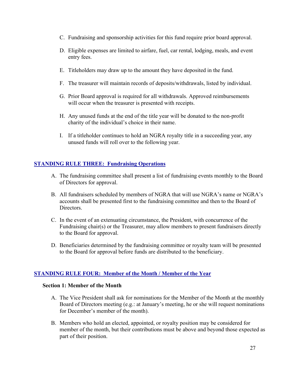- C. Fundraising and sponsorship activities for this fund require prior board approval.
- D. Eligible expenses are limited to airfare, fuel, car rental, lodging, meals, and event entry fees.
- E. Titleholders may draw up to the amount they have deposited in the fund.
- F. The treasurer will maintain records of deposits/withdrawals, listed by individual.
- G. Prior Board approval is required for all withdrawals. Approved reimbursements will occur when the treasurer is presented with receipts.
- H. Any unused funds at the end of the title year will be donated to the non-profit charity of the individual's choice in their name.
- I. If a titleholder continues to hold an NGRA royalty title in a succeeding year, any unused funds will roll over to the following year.

## **STANDING RULE THREE: Fundraising Operations**

- A. The fundraising committee shall present a list of fundraising events monthly to the Board of Directors for approval.
- B. All fundraisers scheduled by members of NGRA that will use NGRA's name or NGRA's accounts shall be presented first to the fundraising committee and then to the Board of Directors.
- C. In the event of an extenuating circumstance, the President, with concurrence of the Fundraising chair(s) or the Treasurer, may allow members to present fundraisers directly to the Board for approval.
- D. Beneficiaries determined by the fundraising committee or royalty team will be presented to the Board for approval before funds are distributed to the beneficiary.

## **STANDING RULE FOUR: Member of the Month / Member of the Year**

#### **Section 1: Member of the Month**

- A. The Vice President shall ask for nominations for the Member of the Month at the monthly Board of Directors meeting (e.g.: at January's meeting, he or she will request nominations for December's member of the month).
- B. Members who hold an elected, appointed, or royalty position may be considered for member of the month, but their contributions must be above and beyond those expected as part of their position.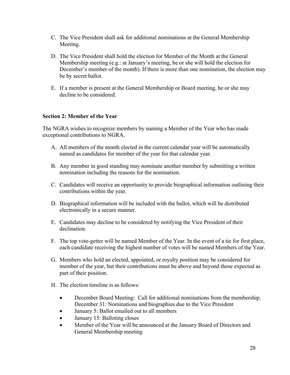- C. The Vice President shall ask for additional nominations at the General Membership Meeting.
- D. The Vice President shall hold the election for Member of the Month at the General Membership meeting (e.g.: at January's meeting, he or she will hold the election for December's member of the month). If there is more than one nomination, the election may be by secret ballot.
- E. If a member is present at the General Membership or Board meeting, he or she may decline to be considered.

## **Section 2: Member of the Year**

The NGRA wishes to recognize members by naming a Member of the Year who has made exceptional contributions to NGRA.

- A. All members of the month elected in the current calendar year will be automatically named as candidates for member of the year for that calendar year.
- B. Any member in good standing may nominate another member by submitting a written nomination including the reasons for the nomination.
- C. Candidates will receive an opportunity to provide biographical information outlining their contributions within the year.
- D. Biographical information will be included with the ballot, which will be distributed electronically in a secure manner.
- E. Candidates may decline to be considered by notifying the Vice President of their declination.
- F. The top vote-getter will be named Member of the Year. In the event of a tie for first place, each candidate receiving the highest number of votes will be named Members of the Year.
- G. Members who hold an elected, appointed, or royalty position may be considered for member of the year, but their contributions must be above and beyond those expected as part of their position.
- H. The election timeline is as follows:
	- December Board Meeting: Call for additional nominations from the membership. December 31: Nominations and biographies due to the Vice President
	- January 5: Ballot emailed out to all members
	- January 15: Balloting closes
	- Member of the Year will be announced at the January Board of Directors and General Membership meeting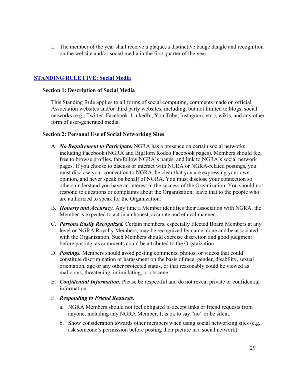I. The member of the year shall receive a plaque, a distinctive badge dangle and recognition on the website and/or social media in the first quarter of the year.

## **STANDING RULE FIVE: Social Media**

#### **Section 1: Description of Social Media**

This Standing Rule applies to all forms of social computing, comments made on official Association websites and/or third party websites, including, but not limited to blogs, social networks (e.g., Twitter, Facebook, LinkedIn, You Tube, Instagram, etc.), wikis, and any other form of user-generated media.

## **Section 2: Personal Use of Social Networking Sites**

- A. *No Requirement to Participate.* NGRA has a presence on certain social networks including Facebook (NGRA and BigHorn Rodeo Facebook pages). Members should feel free to browse profiles, fan/follow NGRA's pages, and link to NGRA's social network pages. If you choose to discuss or interact with NGRA or NGRA-related postings, you must disclose your connection to NGRA, be clear that you are expressing your own opinion, and never speak on behalf of NGRA. You must disclose your connection so others understand you have an interest in the success of the Organization. You should not respond to questions or complaints about the Organization; leave that to the people who are authorized to speak for the Organization.
- B. *Honesty and Accuracy.* Any time a Member identifies their association with NGRA, the Member is expected to act in an honest, accurate and ethical manner.
- C. *Persons Easily Recognized.* Certain members, especially Elected Board Members at any level or NGRA Royalty Members, may be recognized by name alone and be associated with the Organization. Such Members should exercise discretion and good judgment before posting, as comments could be attributed to the Organization.
- D. *Postings.* Members should avoid posting comments, photos, or videos that could constitute discrimination or harassment on the basis of race, gender, disability, sexual orientation, age or any other protected status, or that reasonably could be viewed as malicious, threatening, intimidating, or obscene.
- E. *Confidential Information.* Please be respectful and do not reveal private or confidential information.
- F. *Responding to Friend Requests.*
	- a. NGRA Members should not feel obligated to accept links or friend requests from anyone, including any NGRA Member. It is ok to say "no" or be silent.
	- b. Show consideration towards other members when using social networking sites (e.g., ask someone's permission before posting their picture in a social network).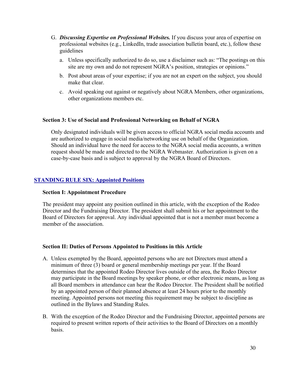- G. *Discussing Expertise on Professional Websites.* If you discuss your area of expertise on professional websites (e.g., LinkedIn, trade association bulletin board, etc.), follow these guidelines
	- a. Unless specifically authorized to do so, use a disclaimer such as: "The postings on this site are my own and do not represent NGRA's position, strategies or opinions."
	- b. Post about areas of your expertise; if you are not an expert on the subject, you should make that clear.
	- c. Avoid speaking out against or negatively about NGRA Members, other organizations, other organizations members etc.

#### **Section 3: Use of Social and Professional Networking on Behalf of NGRA**

Only designated individuals will be given access to official NGRA social media accounts and are authorized to engage in social media/networking use on behalf of the Organization. Should an individual have the need for access to the NGRA social media accounts, a written request should be made and directed to the NGRA Webmaster. Authorization is given on a case-by-case basis and is subject to approval by the NGRA Board of Directors.

## **STANDING RULE SIX: Appointed Positions**

#### **Section I: Appointment Procedure**

The president may appoint any position outlined in this article, with the exception of the Rodeo Director and the Fundraising Director. The president shall submit his or her appointment to the Board of Directors for approval. Any individual appointed that is not a member must become a member of the association.

#### **Section II: Duties of Persons Appointed to Positions in this Article**

- A. Unless exempted by the Board, appointed persons who are not Directors must attend a minimum of three (3) board or general membership meetings per year. If the Board determines that the appointed Rodeo Director lives outside of the area, the Rodeo Director may participate in the Board meetings by speaker phone, or other electronic means, as long as all Board members in attendance can hear the Rodeo Director. The President shall be notified by an appointed person of their planned absence at least 24 hours prior to the monthly meeting. Appointed persons not meeting this requirement may be subject to discipline as outlined in the Bylaws and Standing Rules.
- B. With the exception of the Rodeo Director and the Fundraising Director, appointed persons are required to present written reports of their activities to the Board of Directors on a monthly basis.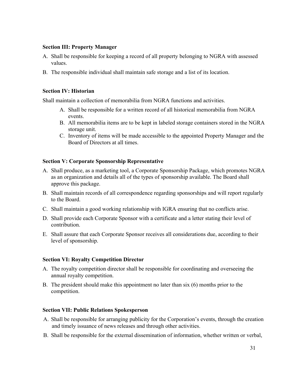#### **Section III: Property Manager**

- A. Shall be responsible for keeping a record of all property belonging to NGRA with assessed values.
- B. The responsible individual shall maintain safe storage and a list of its location.

## **Section IV: Historian**

Shall maintain a collection of memorabilia from NGRA functions and activities.

- A. Shall be responsible for a written record of all historical memorabilia from NGRA events.
- B. All memorabilia items are to be kept in labeled storage containers stored in the NGRA storage unit.
- C. Inventory of items will be made accessible to the appointed Property Manager and the Board of Directors at all times.

## **Section V: Corporate Sponsorship Representative**

- A. Shall produce, as a marketing tool, a Corporate Sponsorship Package, which promotes NGRA as an organization and details all of the types of sponsorship available. The Board shall approve this package.
- B. Shall maintain records of all correspondence regarding sponsorships and will report regularly to the Board.
- C. Shall maintain a good working relationship with IGRA ensuring that no conflicts arise.
- D. Shall provide each Corporate Sponsor with a certificate and a letter stating their level of contribution.
- E. Shall assure that each Corporate Sponsor receives all considerations due, according to their level of sponsorship.

## **Section VI: Royalty Competition Director**

- A. The royalty competition director shall be responsible for coordinating and overseeing the annual royalty competition.
- B. The president should make this appointment no later than six (6) months prior to the competition.

## **Section VII: Public Relations Spokesperson**

- A. Shall be responsible for arranging publicity for the Corporation's events, through the creation and timely issuance of news releases and through other activities.
- B. Shall be responsible for the external dissemination of information, whether written or verbal,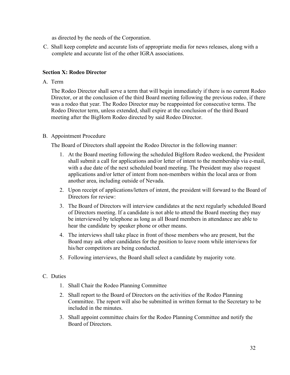as directed by the needs of the Corporation.

C. Shall keep complete and accurate lists of appropriate media for news releases, along with a complete and accurate list of the other IGRA associations.

## **Section X: Rodeo Director**

A. Term

The Rodeo Director shall serve a term that will begin immediately if there is no current Rodeo Director, or at the conclusion of the third Board meeting following the previous rodeo, if there was a rodeo that year. The Rodeo Director may be reappointed for consecutive terms. The Rodeo Director term, unless extended, shall expire at the conclusion of the third Board meeting after the BigHorn Rodeo directed by said Rodeo Director.

## B. Appointment Procedure

The Board of Directors shall appoint the Rodeo Director in the following manner:

- 1. At the Board meeting following the scheduled BigHorn Rodeo weekend, the President shall submit a call for applications and/or letter of intent to the membership via e-mail, with a due date of the next scheduled board meeting. The President may also request applications and/or letter of intent from non-members within the local area or from another area, including outside of Nevada.
- 2. Upon receipt of applications/letters of intent, the president will forward to the Board of Directors for review:
- 3. The Board of Directors will interview candidates at the next regularly scheduled Board of Directors meeting. If a candidate is not able to attend the Board meeting they may be interviewed by telephone as long as all Board members in attendance are able to hear the candidate by speaker phone or other means.
- 4. The interviews shall take place in front of those members who are present, but the Board may ask other candidates for the position to leave room while interviews for his/her competitors are being conducted.
- 5. Following interviews, the Board shall select a candidate by majority vote.

## C. Duties

- 1. Shall Chair the Rodeo Planning Committee
- 2. Shall report to the Board of Directors on the activities of the Rodeo Planning Committee. The report will also be submitted in written format to the Secretary to be included in the minutes.
- 3. Shall appoint committee chairs for the Rodeo Planning Committee and notify the Board of Directors.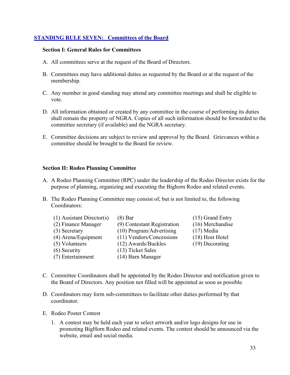## **STANDING RULE SEVEN: Committees of the Board**

#### **Section I: General Rules for Committees**

- A. All committees serve at the request of the Board of Directors.
- B. Committees may have additional duties as requested by the Board or at the request of the membership.
- C. Any member in good standing may attend any committee meetings and shall be eligible to vote.
- D. All information obtained or created by any committee in the course of performing its duties shall remain the property of NGRA. Copies of all such information should be forwarded to the committee secretary (if available) and the NGRA secretary.
- E. Committee decisions are subject to review and approval by the Board. Grievances within a committee should be brought to the Board for review.

#### **Section II: Rodeo Planning Committee**

- A. A Rodeo Planning Committee (RPC) under the leadership of the Rodeo Director exists for the purpose of planning, organizing and executing the Bighorn Rodeo and related events.
- B. The Rodeo Planning Committee may consist of, but is not limited to, the following Coordinators:

| $(1)$ Assistant Director(s) | $(8)$ Bar                   | $(15)$ Grand Entry |
|-----------------------------|-----------------------------|--------------------|
| (2) Finance Manager         | (9) Contestant Registration | (16) Merchandise   |
| $(3)$ Secretary             | (10) Program/Advertising    | $(17)$ Media       |
| (4) Arena/Equipment         | (11) Vendors/Concessions    | (18) Host Hotel    |
| (5) Volunteers              | (12) Awards/Buckles         | $(19)$ Decorating  |
| $(6)$ Security              | (13) Ticket Sales           |                    |
| (7) Entertainment           | (14) Barn Manager           |                    |

- C. Committee Coordinators shall be appointed by the Rodeo Director and notification given to the Board of Directors. Any position not filled will be appointed as soon as possible*.*
- D. Coordinators may form sub-committees to facilitate other duties performed by that coordinator.
- E. Rodeo Poster Contest
	- 1. A contest may be held each year to select artwork and/or logo designs for use in promoting BigHorn Rodeo and related events. The contest should be announced via the website, email and social media.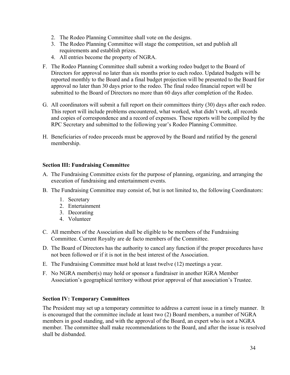- 2. The Rodeo Planning Committee shall vote on the designs.
- 3. The Rodeo Planning Committee will stage the competition, set and publish all requirements and establish prizes.
- 4. All entries become the property of NGRA.
- F. The Rodeo Planning Committee shall submit a working rodeo budget to the Board of Directors for approval no later than six months prior to each rodeo. Updated budgets will be reported monthly to the Board and a final budget projection will be presented to the Board for approval no later than 30 days prior to the rodeo. The final rodeo financial report will be submitted to the Board of Directors no more than 60 days after completion of the Rodeo.
- G. All coordinators will submit a full report on their committees thirty (30) days after each rodeo. This report will include problems encountered, what worked, what didn't work, all records and copies of correspondence and a record of expenses. These reports will be compiled by the RPC Secretary and submitted to the following year's Rodeo Planning Committee.
- H. Beneficiaries of rodeo proceeds must be approved by the Board and ratified by the general membership.

## **Section III: Fundraising Committee**

- A. The Fundraising Committee exists for the purpose of planning, organizing, and arranging the execution of fundraising and entertainment events.
- B. The Fundraising Committee may consist of, but is not limited to, the following Coordinators:
	- 1. Secretary
	- 2. Entertainment
	- 3. Decorating
	- 4. Volunteer
- C. All members of the Association shall be eligible to be members of the Fundraising Committee. Current Royalty are de facto members of the Committee.
- D. The Board of Directors has the authority to cancel any function if the proper procedures have not been followed or if it is not in the best interest of the Association.
- E. The Fundraising Committee must hold at least twelve (12) meetings a year.
- F. No NGRA member(s) may hold or sponsor a fundraiser in another IGRA Member Association's geographical territory without prior approval of that association's Trustee.

#### **Section IV: Temporary Committees**

The President may set up a temporary committee to address a current issue in a timely manner. It is encouraged that the committee include at least two (2) Board members, a number of NGRA members in good standing, and with the approval of the Board, an expert who is not a NGRA member. The committee shall make recommendations to the Board, and after the issue is resolved shall be disbanded.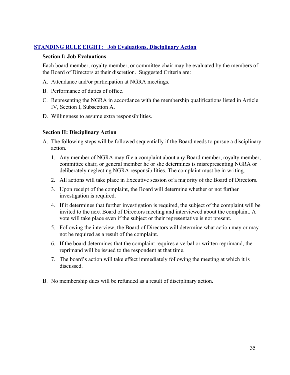## **STANDING RULE EIGHT: Job Evaluations, Disciplinary Action**

#### **Section I: Job Evaluations**

Each board member, royalty member, or committee chair may be evaluated by the members of the Board of Directors at their discretion. Suggested Criteria are:

- A. Attendance and/or participation at NGRA meetings.
- B. Performance of duties of office.
- C. Representing the NGRA in accordance with the membership qualifications listed in Article IV, Section I, Subsection A.
- D. Willingness to assume extra responsibilities.

## **Section II: Disciplinary Action**

- A. The following steps will be followed sequentially if the Board needs to pursue a disciplinary action.
	- 1. Any member of NGRA may file a complaint about any Board member, royalty member, committee chair, or general member he or she determines is misrepresenting NGRA or deliberately neglecting NGRA responsibilities. The complaint must be in writing.
	- 2. All actions will take place in Executive session of a majority of the Board of Directors.
	- 3. Upon receipt of the complaint, the Board will determine whether or not further investigation is required.
	- 4. If it determines that further investigation is required, the subject of the complaint will be invited to the next Board of Directors meeting and interviewed about the complaint. A vote will take place even if the subject or their representative is not present.
	- 5. Following the interview, the Board of Directors will determine what action may or may not be required as a result of the complaint.
	- 6. If the board determines that the complaint requires a verbal or written reprimand, the reprimand will be issued to the respondent at that time.
	- 7. The board's action will take effect immediately following the meeting at which it is discussed.
- B. No membership dues will be refunded as a result of disciplinary action.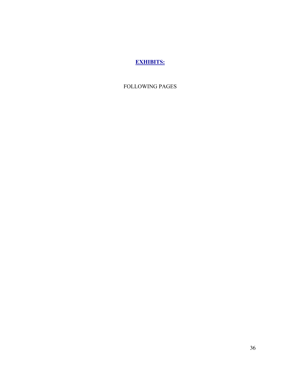# **EXHIBITS:**

FOLLOWING PAGES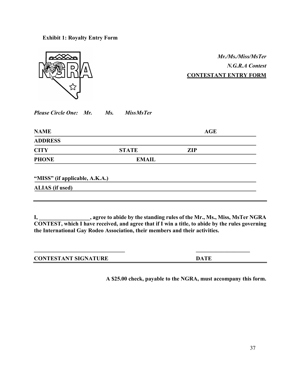**Exhibit 1: Royalty Entry Form**



*Mr./Ms./Miss/MsTer N.G.R.A Contest* **CONTESTANT ENTRY FORM**

| <b>Please Circle One: Mr.</b> |  | Ms. | <b>MissMsTer</b> |
|-------------------------------|--|-----|------------------|
|                               |  |     |                  |

|              | AGE |
|--------------|-----|
|              |     |
| <b>STATE</b> | ZIP |
| <b>EMAIL</b> |     |
|              |     |

**"MISS" (if applicable, A.K.A.)**

**ALIAS (if used)**

**I, \_\_\_\_\_\_\_\_\_\_\_\_\_\_\_\_\_\_, agree to abide by the standing rules of the Mr., Ms., Miss, MsTer NGRA CONTEST, which I have received, and agree that if I win a title, to abide by the rules governing the International Gay Rodeo Association, their members and their activities.**

 $\mathcal{L}_\mathcal{L} = \{ \mathcal{L}_\mathcal{L} \}$ 

| <b>CONTESTANT SIGNATURE</b> | <b>DATE</b> |
|-----------------------------|-------------|
|                             |             |

**A \$25.00 check, payable to the NGRA, must accompany this form.**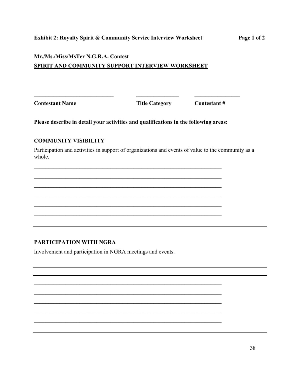## **Mr./Ms./Miss/MsTer N.G.R.A. Contest**

## **SPIRIT AND COMMUNITY SUPPORT INTERVIEW WORKSHEET**

**Contestant Name Title Category Contestant #**

**Please describe in detail your activities and qualifications in the following areas:**

**\_\_\_\_\_\_\_\_\_\_\_\_\_\_\_\_\_\_\_\_\_\_\_\_\_\_\_\_\_\_\_\_\_\_\_\_\_\_\_\_\_\_\_\_\_\_\_\_\_\_\_\_\_\_\_\_\_\_\_\_\_\_\_\_\_\_ \_\_\_\_\_\_\_\_\_\_\_\_\_\_\_\_\_\_\_\_\_\_\_\_\_\_\_\_\_\_\_\_\_\_\_\_\_\_\_\_\_\_\_\_\_\_\_\_\_\_\_\_\_\_\_\_\_\_\_\_\_\_\_\_\_\_ \_\_\_\_\_\_\_\_\_\_\_\_\_\_\_\_\_\_\_\_\_\_\_\_\_\_\_\_\_\_\_\_\_\_\_\_\_\_\_\_\_\_\_\_\_\_\_\_\_\_\_\_\_\_\_\_\_\_\_\_\_\_\_\_\_\_ \_\_\_\_\_\_\_\_\_\_\_\_\_\_\_\_\_\_\_\_\_\_\_\_\_\_\_\_\_\_\_\_\_\_\_\_\_\_\_\_\_\_\_\_\_\_\_\_\_\_\_\_\_\_\_\_\_\_\_\_\_\_\_\_\_\_ \_\_\_\_\_\_\_\_\_\_\_\_\_\_\_\_\_\_\_\_\_\_\_\_\_\_\_\_\_\_\_\_\_\_\_\_\_\_\_\_\_\_\_\_\_\_\_\_\_\_\_\_\_\_\_\_\_\_\_\_\_\_\_\_\_\_**  $\mathcal{L} = \{ \mathcal{L} \mathcal{L} \mathcal{L} \mathcal{L} \mathcal{L} \mathcal{L} \mathcal{L} \mathcal{L} \mathcal{L} \mathcal{L} \mathcal{L} \mathcal{L} \mathcal{L} \mathcal{L} \mathcal{L} \mathcal{L} \mathcal{L} \mathcal{L} \mathcal{L} \mathcal{L} \mathcal{L} \mathcal{L} \mathcal{L} \mathcal{L} \mathcal{L} \mathcal{L} \mathcal{L} \mathcal{L} \mathcal{L} \mathcal{L} \mathcal{L} \mathcal{L} \mathcal{L} \mathcal{L} \mathcal{L} \$ 

**\_\_\_\_\_\_\_\_\_\_\_\_\_\_\_\_\_\_\_\_\_\_\_\_\_\_\_\_\_\_\_\_\_\_\_\_\_\_\_\_\_\_\_\_\_\_\_\_\_\_\_\_\_\_\_\_\_\_\_\_\_\_\_\_\_\_ \_\_\_\_\_\_\_\_\_\_\_\_\_\_\_\_\_\_\_\_\_\_\_\_\_\_\_\_\_\_\_\_\_\_\_\_\_\_\_\_\_\_\_\_\_\_\_\_\_\_\_\_\_\_\_\_\_\_\_\_\_\_\_\_\_\_ \_\_\_\_\_\_\_\_\_\_\_\_\_\_\_\_\_\_\_\_\_\_\_\_\_\_\_\_\_\_\_\_\_\_\_\_\_\_\_\_\_\_\_\_\_\_\_\_\_\_\_\_\_\_\_\_\_\_\_\_\_\_\_\_\_\_ \_\_\_\_\_\_\_\_\_\_\_\_\_\_\_\_\_\_\_\_\_\_\_\_\_\_\_\_\_\_\_\_\_\_\_\_\_\_\_\_\_\_\_\_\_\_\_\_\_\_\_\_\_\_\_\_\_\_\_\_\_\_\_\_\_\_**  $\mathcal{L} = \{ \mathcal{L} \mathcal{L} \mathcal{L} \mathcal{L} \mathcal{L} \mathcal{L} \mathcal{L} \mathcal{L} \mathcal{L} \mathcal{L} \mathcal{L} \mathcal{L} \mathcal{L} \mathcal{L} \mathcal{L} \mathcal{L} \mathcal{L} \mathcal{L} \mathcal{L} \mathcal{L} \mathcal{L} \mathcal{L} \mathcal{L} \mathcal{L} \mathcal{L} \mathcal{L} \mathcal{L} \mathcal{L} \mathcal{L} \mathcal{L} \mathcal{L} \mathcal{L} \mathcal{L} \mathcal{L} \mathcal{L} \$ 

**\_\_\_\_\_\_\_\_\_\_\_\_\_\_\_\_\_\_\_\_\_\_\_\_\_\_\_\_ \_\_\_\_\_\_\_\_\_\_\_\_\_\_\_ \_\_\_\_\_\_\_\_\_\_\_\_\_\_\_\_**

## **COMMUNITY VISIBILITY**

Participation and activities in support of organizations and events of value to the community as a whole.

## **PARTICIPATION WITH NGRA**

Involvement and participation in NGRA meetings and events.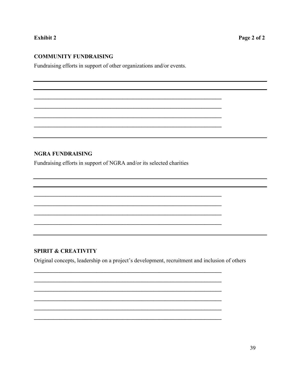## **Exhibit 2**

## **COMMUNITY FUNDRAISING**

Fundraising efforts in support of other organizations and/or events.

## **NGRA FUNDRAISING**

Fundraising efforts in support of NGRA and/or its selected charities

## **SPIRIT & CREATIVITY**

Original concepts, leadership on a project's development, recruitment and inclusion of others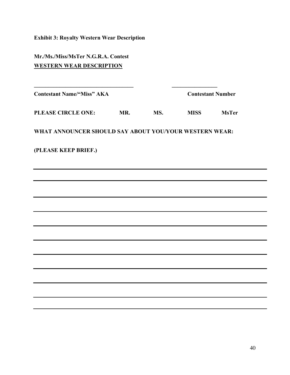**Exhibit 3: Royalty Western Wear Description**

**Mr./Ms./Miss/MsTer N.G.R.A. Contest WESTERN WEAR DESCRIPTION**

**Contestant Name/"Miss" AKA Contestant Number** 

**PLEASE CIRCLE ONE: MR. MS. MISS MsTer**

**\_\_\_\_\_\_\_\_\_\_\_\_\_\_\_\_\_\_\_\_\_\_\_\_\_\_\_\_\_\_\_\_\_\_\_ \_\_\_\_\_\_\_\_\_\_\_\_\_\_\_\_**

**WHAT ANNOUNCER SHOULD SAY ABOUT YOU/YOUR WESTERN WEAR:**

**(PLEASE KEEP BRIEF.)**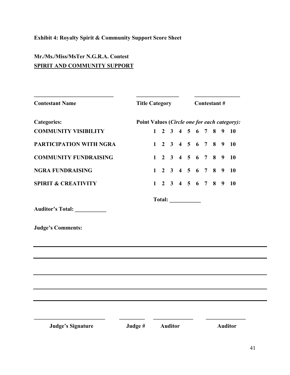# **Exhibit 4: Royalty Spirit & Community Support Score Sheet**

# **Mr./Ms./Miss/MsTer N.G.R.A. Contest SPIRIT AND COMMUNITY SUPPORT**

| <b>Contestant Name</b>         |                                              | <b>Title Category</b> |  |                |                                     |  |  | Contestant# |  |   |                |  |  |  |
|--------------------------------|----------------------------------------------|-----------------------|--|----------------|-------------------------------------|--|--|-------------|--|---|----------------|--|--|--|
| <b>Categories:</b>             | Point Values (Circle one for each category): |                       |  |                |                                     |  |  |             |  |   |                |  |  |  |
| <b>COMMUNITY VISIBILITY</b>    |                                              | $\mathbf{1}$          |  |                | 2 3 4 5 6 7 8                       |  |  |             |  | 9 | <b>10</b>      |  |  |  |
| <b>PARTICIPATION WITH NGRA</b> |                                              |                       |  |                | $1 \t2 \t3 \t4 \t5 \t6 \t7 \t8 \t9$ |  |  |             |  |   | <b>10</b>      |  |  |  |
| <b>COMMUNITY FUNDRAISING</b>   |                                              | $\mathbf{1}$          |  |                | 2 3 4 5 6 7 8                       |  |  |             |  | 9 | <b>10</b>      |  |  |  |
| <b>NGRA FUNDRAISING</b>        |                                              | $\mathbf{1}$          |  |                | 2 3 4 5 6 7 8                       |  |  |             |  | 9 | <b>10</b>      |  |  |  |
| <b>SPIRIT &amp; CREATIVITY</b> |                                              |                       |  |                | $1 \t2 \t3 \t4 \t5 \t6 \t7 \t8 \t9$ |  |  |             |  |   | <b>10</b>      |  |  |  |
|                                |                                              |                       |  |                |                                     |  |  |             |  |   |                |  |  |  |
| Auditor's Total: ___________   |                                              |                       |  |                |                                     |  |  |             |  |   |                |  |  |  |
| <b>Judge's Comments:</b>       |                                              |                       |  |                |                                     |  |  |             |  |   |                |  |  |  |
|                                |                                              |                       |  |                |                                     |  |  |             |  |   |                |  |  |  |
|                                |                                              |                       |  |                |                                     |  |  |             |  |   |                |  |  |  |
|                                |                                              |                       |  |                |                                     |  |  |             |  |   |                |  |  |  |
|                                |                                              |                       |  |                |                                     |  |  |             |  |   |                |  |  |  |
|                                |                                              |                       |  |                |                                     |  |  |             |  |   |                |  |  |  |
|                                |                                              |                       |  |                |                                     |  |  |             |  |   |                |  |  |  |
|                                |                                              |                       |  |                |                                     |  |  |             |  |   |                |  |  |  |
| <b>Judge's Signature</b>       | Judge #                                      |                       |  | <b>Auditor</b> |                                     |  |  |             |  |   | <b>Auditor</b> |  |  |  |

 $\overline{\phantom{0}}$ 

Ξ,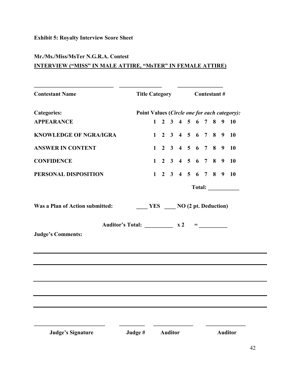# **Exhibit 5: Royalty Interview Score Sheet**

## **Mr./Ms./Miss/MsTer N.G.R.A. Contest**

## **INTERVIEW ("MISS" IN MALE ATTIRE, "MsTER" IN FEMALE ATTIRE)**

| <b>Contestant Name</b>          |                                                                                                          | Title Category Contestant # |                                     |  |  |  |  |  |  |           |
|---------------------------------|----------------------------------------------------------------------------------------------------------|-----------------------------|-------------------------------------|--|--|--|--|--|--|-----------|
| <b>Categories:</b>              | Point Values (Circle one for each category):                                                             |                             |                                     |  |  |  |  |  |  |           |
| <b>APPEARANCE</b>               |                                                                                                          |                             | $1 \t2 \t3 \t4 \t5 \t6 \t7 \t8 \t9$ |  |  |  |  |  |  | <b>10</b> |
| <b>KNOWLEDGE OF NGRA/IGRA</b>   |                                                                                                          |                             | $1 \t2 \t3 \t4 \t5 \t6 \t7 \t8 \t9$ |  |  |  |  |  |  | <b>10</b> |
| <b>ANSWER IN CONTENT</b>        |                                                                                                          |                             | $1 \t2 \t3 \t4 \t5 \t6 \t7 \t8 \t9$ |  |  |  |  |  |  | - 10      |
| <b>CONFIDENCE</b>               |                                                                                                          |                             | $1 \t2 \t3 \t4 \t5 \t6 \t7 \t8 \t9$ |  |  |  |  |  |  | <b>10</b> |
| PERSONAL DISPOSITION            |                                                                                                          |                             | $1 \t2 \t3 \t4 \t5 \t6 \t7 \t8 \t9$ |  |  |  |  |  |  | <b>10</b> |
|                                 |                                                                                                          |                             |                                     |  |  |  |  |  |  | Total:    |
| Was a Plan of Action submitted: | $\frac{1}{2}$ YES $\frac{1}{2}$ NO (2 pt. Deduction)<br>Auditor's Total: $\frac{x^2}{2}$ = $\frac{1}{2}$ |                             |                                     |  |  |  |  |  |  |           |
| <b>Judge's Comments:</b>        |                                                                                                          |                             |                                     |  |  |  |  |  |  |           |
|                                 |                                                                                                          |                             |                                     |  |  |  |  |  |  |           |
|                                 |                                                                                                          |                             |                                     |  |  |  |  |  |  |           |
|                                 |                                                                                                          |                             |                                     |  |  |  |  |  |  |           |
|                                 |                                                                                                          |                             |                                     |  |  |  |  |  |  |           |
|                                 |                                                                                                          |                             |                                     |  |  |  |  |  |  |           |
|                                 |                                                                                                          |                             |                                     |  |  |  |  |  |  |           |
|                                 |                                                                                                          |                             |                                     |  |  |  |  |  |  |           |
|                                 |                                                                                                          |                             |                                     |  |  |  |  |  |  |           |

 $\overline{\phantom{0}}$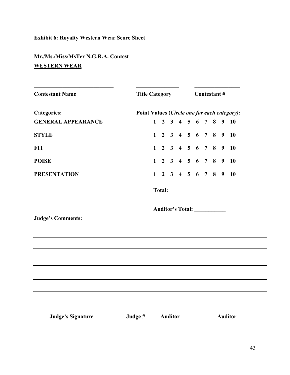# **Exhibit 6: Royalty Western Wear Score Sheet**

# **Mr./Ms./Miss/MsTer N.G.R.A. Contest WESTERN WEAR**

| <b>Contestant Name</b>    |                                              |  |  |  |                                     |  | Title Category Contestant # |  |  |  |           |  |  |
|---------------------------|----------------------------------------------|--|--|--|-------------------------------------|--|-----------------------------|--|--|--|-----------|--|--|
| <b>Categories:</b>        | Point Values (Circle one for each category): |  |  |  |                                     |  |                             |  |  |  |           |  |  |
| <b>GENERAL APPEARANCE</b> |                                              |  |  |  | $1 \t2 \t3 \t4 \t5 \t6 \t7 \t8 \t9$ |  |                             |  |  |  | <b>10</b> |  |  |
| <b>STYLE</b>              |                                              |  |  |  | $1 \t2 \t3 \t4 \t5 \t6 \t7 \t8 \t9$ |  |                             |  |  |  | <b>10</b> |  |  |
| <b>FIT</b>                |                                              |  |  |  | $1 \t2 \t3 \t4 \t5 \t6 \t7 \t8 \t9$ |  |                             |  |  |  | <b>10</b> |  |  |
| <b>POISE</b>              |                                              |  |  |  | $1 \t2 \t3 \t4 \t5 \t6 \t7 \t8 \t9$ |  |                             |  |  |  | <b>10</b> |  |  |
| <b>PRESENTATION</b>       |                                              |  |  |  | $1 \t2 \t3 \t4 \t5 \t6 \t7 \t8 \t9$ |  |                             |  |  |  | <b>10</b> |  |  |
|                           |                                              |  |  |  |                                     |  |                             |  |  |  |           |  |  |
|                           |                                              |  |  |  |                                     |  |                             |  |  |  |           |  |  |
| <b>Judge's Comments:</b>  |                                              |  |  |  | Auditor's Total: ___________        |  |                             |  |  |  |           |  |  |
|                           |                                              |  |  |  |                                     |  |                             |  |  |  |           |  |  |
|                           |                                              |  |  |  |                                     |  |                             |  |  |  |           |  |  |
|                           |                                              |  |  |  |                                     |  |                             |  |  |  |           |  |  |
|                           |                                              |  |  |  |                                     |  |                             |  |  |  |           |  |  |
|                           |                                              |  |  |  |                                     |  |                             |  |  |  |           |  |  |
|                           |                                              |  |  |  |                                     |  |                             |  |  |  |           |  |  |
|                           |                                              |  |  |  |                                     |  |                             |  |  |  |           |  |  |

÷.

÷.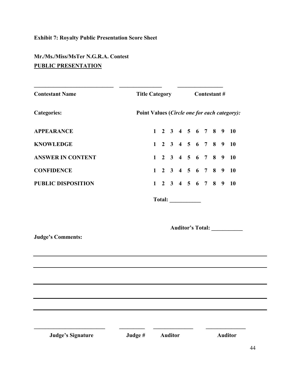# **Exhibit 7: Royalty Public Presentation Score Sheet**

# **Mr./Ms./Miss/MsTer N.G.R.A. Contest PUBLIC PRESENTATION**

| <b>Contestant Name</b>    | <b>Title Category</b>                        | <b>Contestant #</b> |  |  |  |  |                         |  |  |  |  |
|---------------------------|----------------------------------------------|---------------------|--|--|--|--|-------------------------|--|--|--|--|
| <b>Categories:</b>        | Point Values (Circle one for each category): |                     |  |  |  |  |                         |  |  |  |  |
| <b>APPEARANCE</b>         | $1 \t2 \t3 \t4 \t5 \t6 \t7 \t8 \t9 \t10$     |                     |  |  |  |  |                         |  |  |  |  |
| <b>KNOWLEDGE</b>          | $1 \t2 \t3 \t4 \t5 \t6 \t7 \t8 \t9 \t10$     |                     |  |  |  |  |                         |  |  |  |  |
| <b>ANSWER IN CONTENT</b>  | $1 \t2 \t3 \t4 \t5 \t6 \t7 \t8 \t9$          |                     |  |  |  |  | <b>10</b>               |  |  |  |  |
| <b>CONFIDENCE</b>         | $1 \t2 \t3 \t4 \t5 \t6 \t7 \t8 \t9$          |                     |  |  |  |  | <b>10</b>               |  |  |  |  |
| <b>PUBLIC DISPOSITION</b> | $1 \t2 \t3 \t4 \t5 \t6 \t7 \t8 \t9$          |                     |  |  |  |  | <b>10</b>               |  |  |  |  |
|                           |                                              |                     |  |  |  |  |                         |  |  |  |  |
|                           |                                              |                     |  |  |  |  | <b>Auditor's Total:</b> |  |  |  |  |
| <b>Judge's Comments:</b>  |                                              |                     |  |  |  |  |                         |  |  |  |  |

 **Judge's Signature Judge # Auditor Auditor**

**\_\_\_\_\_\_\_\_\_\_\_\_\_\_\_\_\_\_\_\_\_\_\_\_\_ \_\_\_\_\_\_\_\_\_ \_\_\_\_\_\_\_\_\_\_\_\_\_\_ \_\_\_\_\_\_\_\_\_\_\_\_\_\_**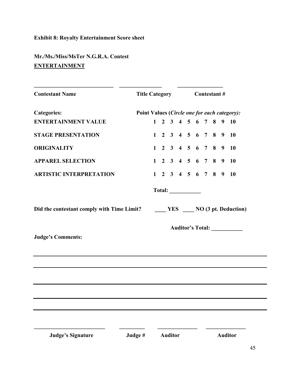# **Exhibit 8: Royalty Entertainment Score sheet**

# **Mr./Ms./Miss/MsTer N.G.R.A. Contest ENTERTAINMENT**

| <b>Contestant Name</b>         |         |  |  |                | Title Category Contestant # |        |                              |  |  |                                     |                                              |
|--------------------------------|---------|--|--|----------------|-----------------------------|--------|------------------------------|--|--|-------------------------------------|----------------------------------------------|
| <b>Categories:</b>             |         |  |  |                |                             |        |                              |  |  |                                     | Point Values (Circle one for each category): |
| <b>ENTERTAINMENT VALUE</b>     |         |  |  |                |                             |        |                              |  |  |                                     | $1 \t2 \t3 \t4 \t5 \t6 \t7 \t8 \t9 \t10$     |
| <b>STAGE PRESENTATION</b>      |         |  |  |                |                             |        |                              |  |  | $1 \t2 \t3 \t4 \t5 \t6 \t7 \t8 \t9$ | <b>10</b>                                    |
| <b>ORIGINALITY</b>             |         |  |  |                |                             |        |                              |  |  |                                     | $1 \t2 \t3 \t4 \t5 \t6 \t7 \t8 \t9 \t10$     |
| <b>APPAREL SELECTION</b>       |         |  |  |                |                             |        |                              |  |  |                                     | $1 \t2 \t3 \t4 \t5 \t6 \t7 \t8 \t9 \t10$     |
| <b>ARTISTIC INTERPRETATION</b> |         |  |  |                |                             |        |                              |  |  | $1 \t2 \t3 \t4 \t5 \t6 \t7 \t8 \t9$ | <b>10</b>                                    |
|                                |         |  |  |                |                             | Total: |                              |  |  |                                     |                                              |
|                                |         |  |  |                |                             |        |                              |  |  |                                     |                                              |
|                                |         |  |  |                |                             |        | Auditor's Total: ___________ |  |  |                                     |                                              |
| <b>Judge's Comments:</b>       |         |  |  |                |                             |        |                              |  |  |                                     |                                              |
|                                |         |  |  |                |                             |        |                              |  |  |                                     |                                              |
|                                |         |  |  |                |                             |        |                              |  |  |                                     |                                              |
|                                |         |  |  |                |                             |        |                              |  |  |                                     |                                              |
|                                |         |  |  |                |                             |        |                              |  |  |                                     |                                              |
|                                |         |  |  |                |                             |        |                              |  |  |                                     |                                              |
|                                |         |  |  |                |                             |        |                              |  |  |                                     |                                              |
| <b>Judge's Signature</b>       | Judge # |  |  | <b>Auditor</b> |                             |        |                              |  |  |                                     | <b>Auditor</b>                               |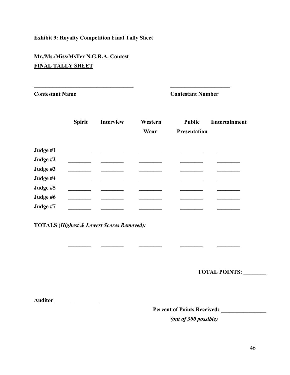## **Exhibit 9: Royalty Competition Final Tally Sheet**

**\_\_\_\_\_\_\_\_\_\_\_\_\_\_\_\_\_\_\_\_\_\_\_\_\_\_\_\_\_\_\_\_\_\_\_ \_\_\_\_\_\_\_\_\_\_\_\_\_\_\_\_\_\_\_\_\_**

# **Mr./Ms./Miss/MsTer N.G.R.A. Contest FINAL TALLY SHEET**

**Contestant Name Contestant Number**

|          | <b>Spirit</b> | <b>Interview</b> | Western<br>Wear | <b>Public</b><br>Presentation | <b>Entertainment</b> |  |
|----------|---------------|------------------|-----------------|-------------------------------|----------------------|--|
| Judge #1 |               |                  |                 |                               |                      |  |
| Judge #2 |               |                  |                 |                               |                      |  |
| Judge #3 |               |                  |                 |                               |                      |  |
| Judge #4 |               |                  |                 |                               |                      |  |
| Judge #5 |               |                  |                 |                               |                      |  |
| Judge #6 |               |                  |                 |                               |                      |  |
| Judge #7 |               |                  |                 |                               |                      |  |

 **\_\_\_\_\_\_\_\_ \_\_\_\_\_\_\_\_ \_\_\_\_\_\_\_\_ \_\_\_\_\_\_\_\_ \_\_\_\_\_\_\_\_**

**TOTALS (***Highest & Lowest Scores Removed):*

**TOTAL POINTS: \_\_\_\_\_\_\_\_** 

**Auditor \_\_\_\_\_\_ \_\_\_\_\_\_\_\_**

**Percent of Points Received: \_\_\_\_\_\_\_\_\_\_\_\_\_\_\_\_**

*(out of 300 possible)*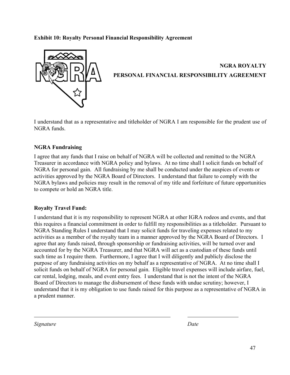## **Exhibit 10: Royalty Personal Financial Responsibility Agreement**



I understand that as a representative and titleholder of NGRA I am responsible for the prudent use of NGRA funds.

## **NGRA Fundraising**

I agree that any funds that I raise on behalf of NGRA will be collected and remitted to the NGRA Treasurer in accordance with NGRA policy and bylaws. At no time shall I solicit funds on behalf of NGRA for personal gain. All fundraising by me shall be conducted under the auspices of events or activities approved by the NGRA Board of Directors. I understand that failure to comply with the NGRA bylaws and policies may result in the removal of my title and forfeiture of future opportunities to compete or hold an NGRA title.

## **Royalty Travel Fund:**

I understand that it is my responsibility to represent NGRA at other IGRA rodeos and events, and that this requires a financial commitment in order to fulfill my responsibilities as a titleholder. Pursuant to NGRA Standing Rules I understand that I may solicit funds for traveling expenses related to my activities as a member of the royalty team in a manner approved by the NGRA Board of Directors. I agree that any funds raised, through sponsorship or fundraising activities, will be turned over and accounted for by the NGRA Treasurer, and that NGRA will act as a custodian of these funds until such time as I require them. Furthermore, I agree that I will diligently and publicly disclose the purpose of any fundraising activities on my behalf as a representative of NGRA. At no time shall I solicit funds on behalf of NGRA for personal gain. Eligible travel expenses will include airfare, fuel, car rental, lodging, meals, and event entry fees. I understand that is not the intent of the NGRA Board of Directors to manage the disbursement of these funds with undue scrutiny; however, I understand that it is my obligation to use funds raised for this purpose as a representative of NGRA in a prudent manner.

*Signature Date*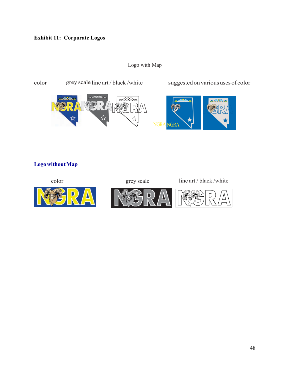Logo with Map



## **LogowithoutMap**